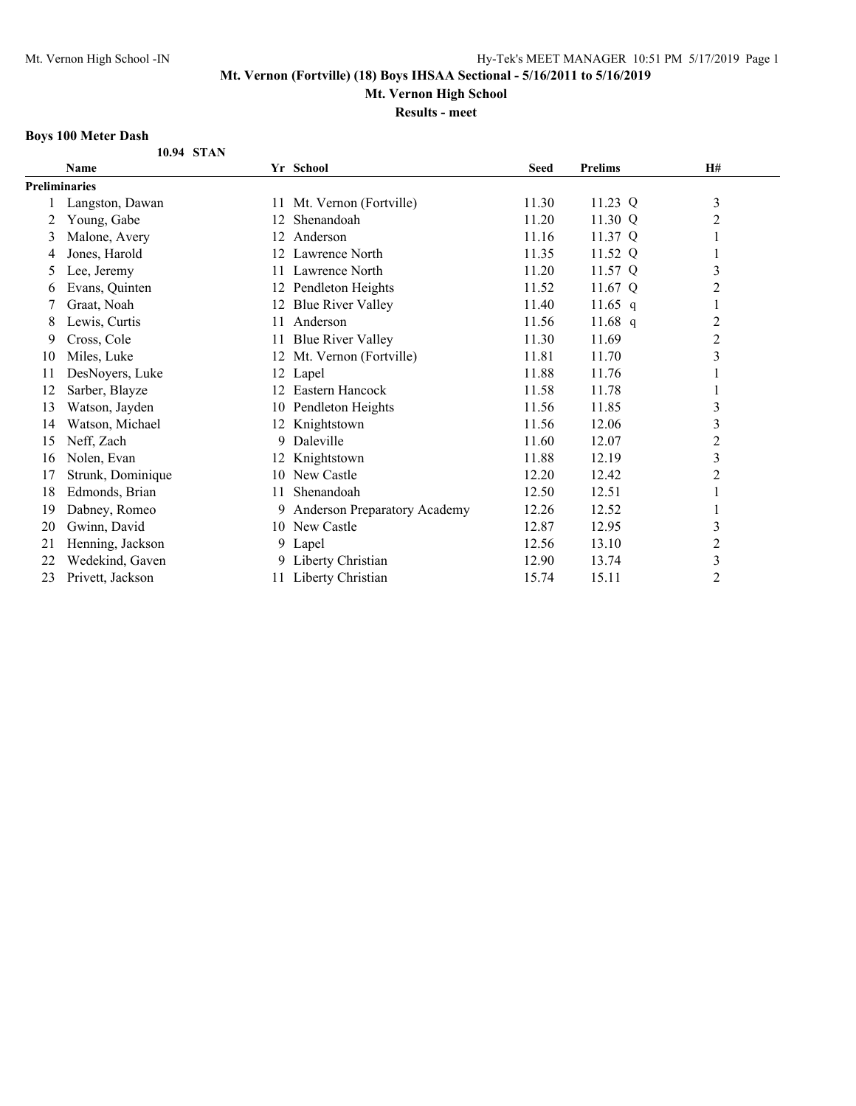**Mt. Vernon High School**

**Results - meet**

## **Boys 100 Meter Dash**

|  | 10.94 STAN |
|--|------------|

|                      | <b>Name</b>       |    | Yr School                    | <b>Seed</b> | <b>Prelims</b> | <b>H#</b>      |  |
|----------------------|-------------------|----|------------------------------|-------------|----------------|----------------|--|
| <b>Preliminaries</b> |                   |    |                              |             |                |                |  |
|                      | Langston, Dawan   | 11 | Mt. Vernon (Fortville)       | 11.30       | 11.23 Q        | 3              |  |
| 2                    | Young, Gabe       | 12 | Shenandoah                   | 11.20       | 11.30 Q        | 2              |  |
| 3                    | Malone, Avery     | 12 | Anderson                     | 11.16       | 11.37 Q        |                |  |
| 4                    | Jones, Harold     | 12 | Lawrence North               | 11.35       | 11.52 Q        |                |  |
| 5                    | Lee, Jeremy       | 11 | Lawrence North               | 11.20       | 11.57 Q        | 3              |  |
| 6                    | Evans, Quinten    | 12 | Pendleton Heights            | 11.52       | 11.67 Q        | $\overline{2}$ |  |
|                      | Graat, Noah       | 12 | <b>Blue River Valley</b>     | 11.40       | 11.65 $q$      | 1              |  |
| 8                    | Lewis, Curtis     | 11 | Anderson                     | 11.56       | 11.68 q        | $\overline{c}$ |  |
| 9                    | Cross, Cole       | 11 | <b>Blue River Valley</b>     | 11.30       | 11.69          | 2              |  |
| 10                   | Miles, Luke       | 12 | Mt. Vernon (Fortville)       | 11.81       | 11.70          | $\mathfrak{Z}$ |  |
| 11                   | DesNoyers, Luke   | 12 | Lapel                        | 11.88       | 11.76          |                |  |
| 12                   | Sarber, Blayze    | 12 | Eastern Hancock              | 11.58       | 11.78          |                |  |
| 13                   | Watson, Jayden    |    | 10 Pendleton Heights         | 11.56       | 11.85          | 3              |  |
| 14                   | Watson, Michael   | 12 | Knightstown                  | 11.56       | 12.06          | 3              |  |
| 15                   | Neff, Zach        | 9  | Daleville                    | 11.60       | 12.07          | $\overline{c}$ |  |
| 16                   | Nolen, Evan       |    | Knightstown                  | 11.88       | 12.19          | 3              |  |
| 17                   | Strunk, Dominique | 10 | New Castle                   | 12.20       | 12.42          | $\overline{c}$ |  |
| 18                   | Edmonds, Brian    | 11 | Shenandoah                   | 12.50       | 12.51          |                |  |
| 19                   | Dabney, Romeo     | 9. | Anderson Preparatory Academy | 12.26       | 12.52          |                |  |
| 20                   | Gwinn, David      |    | 10 New Castle                | 12.87       | 12.95          | 3              |  |
| 21                   | Henning, Jackson  |    | 9 Lapel                      | 12.56       | 13.10          | $\overline{c}$ |  |
| 22                   | Wedekind, Gaven   | 9  | Liberty Christian            | 12.90       | 13.74          | 3              |  |
| 23                   | Privett, Jackson  |    | 11 Liberty Christian         | 15.74       | 15.11          | $\overline{c}$ |  |
|                      |                   |    |                              |             |                |                |  |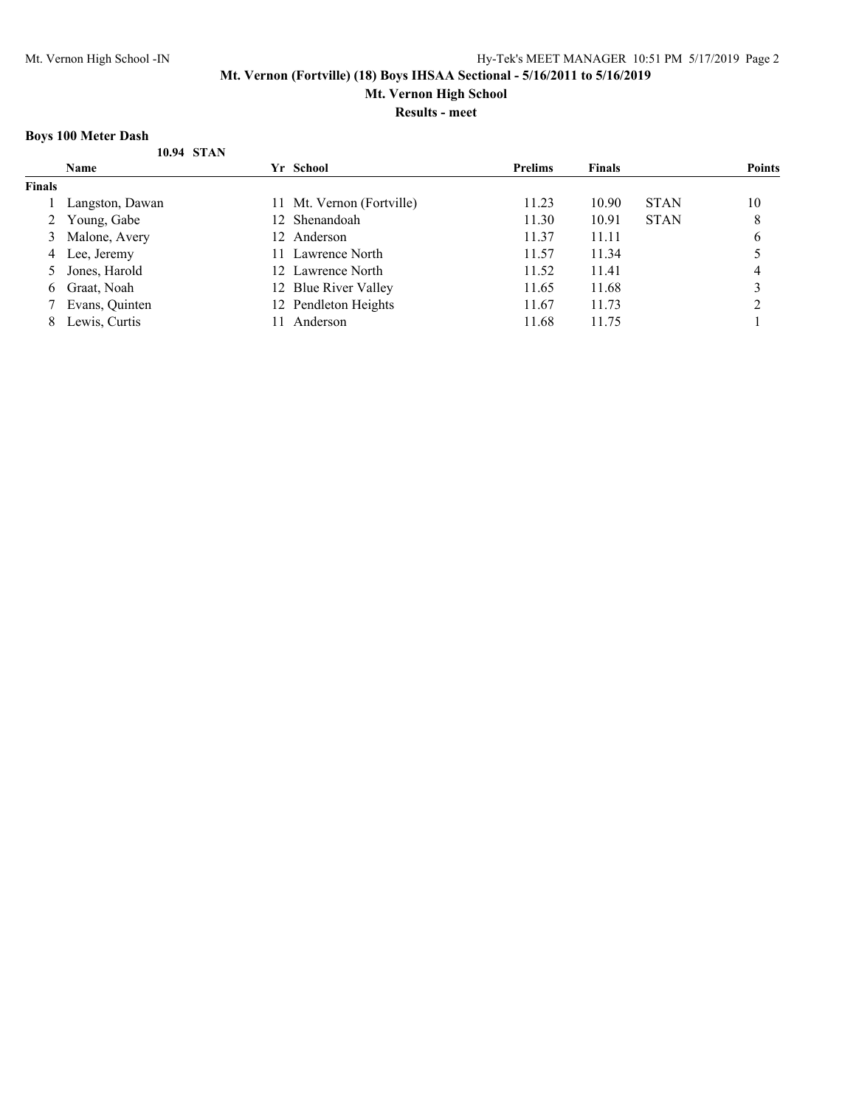**Mt. Vernon High School**

**Results - meet**

## **Boys 100 Meter Dash**

|               | DOVS TOO MICICI DASIL |                           |                |               |             |               |
|---------------|-----------------------|---------------------------|----------------|---------------|-------------|---------------|
|               | 10.94 STAN            |                           |                |               |             |               |
|               | <b>Name</b>           | Yr School                 | <b>Prelims</b> | <b>Finals</b> |             | <b>Points</b> |
| <b>Finals</b> |                       |                           |                |               |             |               |
|               | Langston, Dawan       | 11 Mt. Vernon (Fortville) | 11.23          | 10.90         | <b>STAN</b> | 10            |
|               | 2 Young, Gabe         | 12 Shenandoah             | 11.30          | 10.91         | <b>STAN</b> | 8             |
|               | 3 Malone, Avery       | 12 Anderson               | 11.37          | 11.11         |             | 6             |
| 4             | Lee, Jeremy           | Lawrence North<br>11.     | 11.57          | 11.34         |             |               |
|               | Jones, Harold         | 12 Lawrence North         | 11.52          | 11.41         |             | 4             |
| 6.            | Graat, Noah           | 12 Blue River Valley      | 11.65          | 11.68         |             |               |
|               | Evans, Quinten        | 12 Pendleton Heights      | 11.67          | 11.73         |             |               |
| 8             | Lewis, Curtis         | Anderson                  | 11.68          | 11.75         |             |               |
|               |                       |                           |                |               |             |               |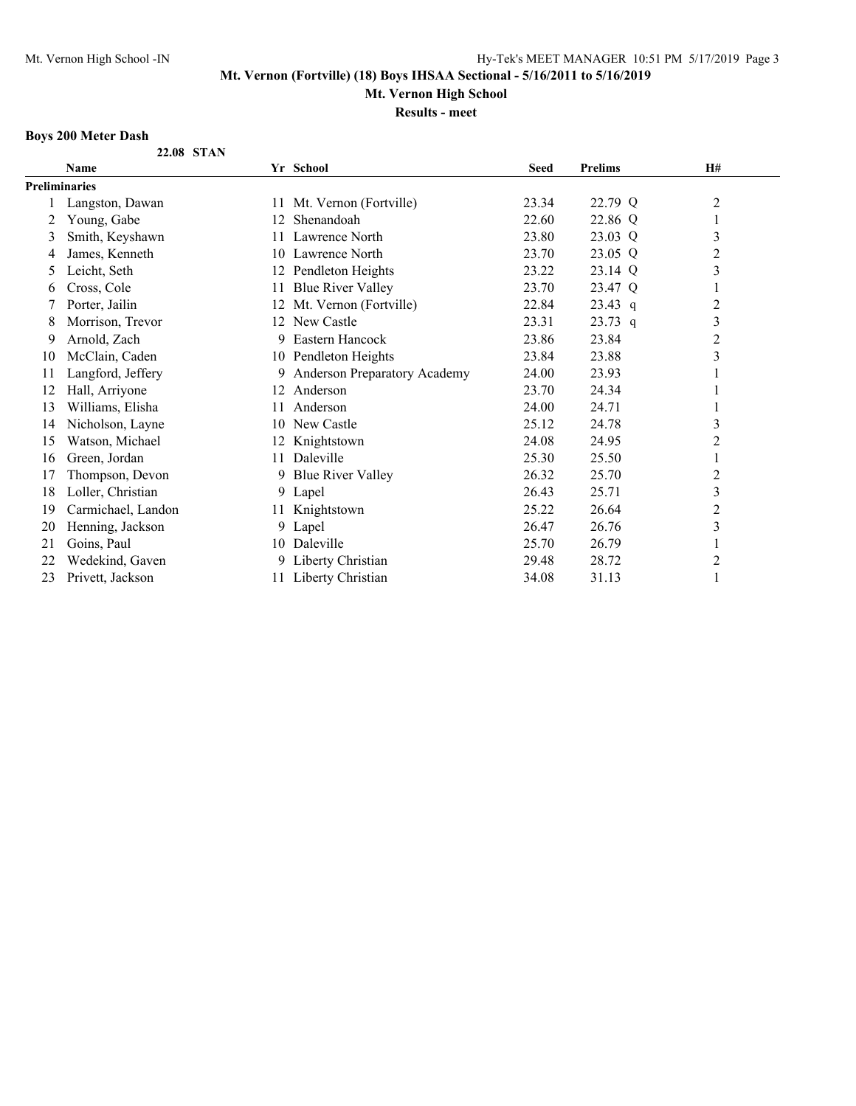**Mt. Vernon High School**

**Results - meet**

## **Boys 200 Meter Dash**

|  | 22.08 STAN |
|--|------------|
|  |            |

|    | <b>Name</b>        |     | Yr School                    | <b>Seed</b> | <b>Prelims</b> | <b>H#</b>        |  |
|----|--------------------|-----|------------------------------|-------------|----------------|------------------|--|
|    | Preliminaries      |     |                              |             |                |                  |  |
|    | Langston, Dawan    | 11  | Mt. Vernon (Fortville)       | 23.34       | 22.79 Q        | 2                |  |
| 2  | Young, Gabe        | 12  | Shenandoah                   | 22.60       | 22.86 Q        |                  |  |
| 3  | Smith, Keyshawn    | 11. | Lawrence North               | 23.80       | 23.03 Q        | $\mathfrak{Z}$   |  |
| 4  | James, Kenneth     |     | 10 Lawrence North            | 23.70       | 23.05 Q        | 2                |  |
| 5  | Leicht, Seth       | 12  | Pendleton Heights            | 23.22       | 23.14 Q        | $\mathfrak{Z}$   |  |
| 6  | Cross, Cole        | 11  | <b>Blue River Valley</b>     | 23.70       | 23.47 Q        |                  |  |
|    | Porter, Jailin     | 12  | Mt. Vernon (Fortville)       | 22.84       | $23.43$ q      | $\overline{c}$   |  |
| 8  | Morrison, Trevor   | 12  | New Castle                   | 23.31       | $23.73$ q      | $\mathfrak{Z}$   |  |
| 9  | Arnold, Zach       | 9.  | Eastern Hancock              | 23.86       | 23.84          | $\boldsymbol{2}$ |  |
| 10 | McClain, Caden     | 10  | Pendleton Heights            | 23.84       | 23.88          | 3                |  |
| 11 | Langford, Jeffery  | 9   | Anderson Preparatory Academy | 24.00       | 23.93          |                  |  |
| 12 | Hall, Arriyone     | 12  | Anderson                     | 23.70       | 24.34          |                  |  |
| 13 | Williams, Elisha   | 11  | Anderson                     | 24.00       | 24.71          |                  |  |
| 14 | Nicholson, Layne   | 10  | New Castle                   | 25.12       | 24.78          | 3                |  |
| 15 | Watson, Michael    | 12  | Knightstown                  | 24.08       | 24.95          | $\overline{c}$   |  |
| 16 | Green, Jordan      | 11  | Daleville                    | 25.30       | 25.50          |                  |  |
| 17 | Thompson, Devon    | 9   | <b>Blue River Valley</b>     | 26.32       | 25.70          | $\overline{c}$   |  |
| 18 | Loller, Christian  |     | 9 Lapel                      | 26.43       | 25.71          | 3                |  |
| 19 | Carmichael, Landon | 11  | Knightstown                  | 25.22       | 26.64          | $\overline{c}$   |  |
| 20 | Henning, Jackson   | 9   | Lapel                        | 26.47       | 26.76          | 3                |  |
| 21 | Goins, Paul        | 10  | Daleville                    | 25.70       | 26.79          | 1                |  |
| 22 | Wedekind, Gaven    | 9   | Liberty Christian            | 29.48       | 28.72          | 2                |  |
| 23 | Privett, Jackson   |     | 11 Liberty Christian         | 34.08       | 31.13          |                  |  |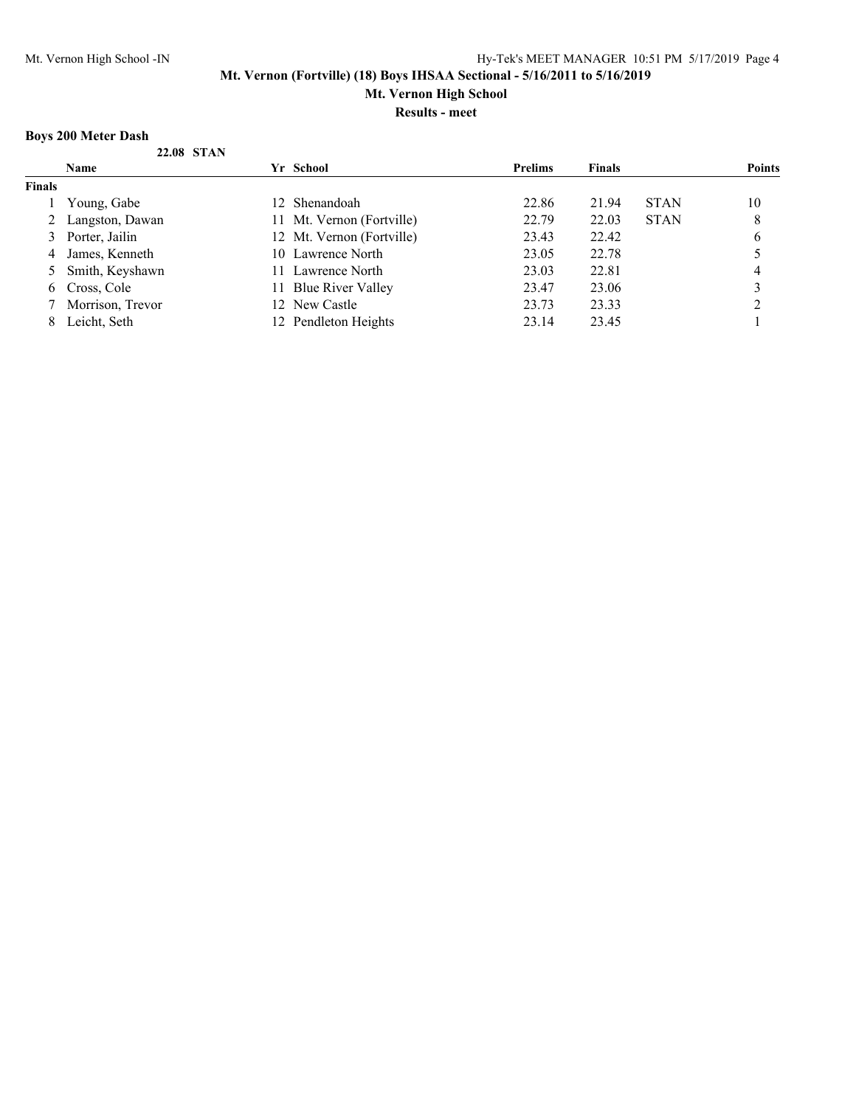**Mt. Vernon High School**

**Results - meet**

## **Boys 200 Meter Dash**

|               | DOVS ZUU MELET DASIL |                                 |                |               |             |               |
|---------------|----------------------|---------------------------------|----------------|---------------|-------------|---------------|
|               | 22.08 STAN           |                                 |                |               |             |               |
|               | Name                 | Yr School                       | <b>Prelims</b> | <b>Finals</b> |             | <b>Points</b> |
| <b>Finals</b> |                      |                                 |                |               |             |               |
|               | Young, Gabe          | 12 Shenandoah                   | 22.86          | 21.94         | <b>STAN</b> | 10            |
|               | 2 Langston, Dawan    | Mt. Vernon (Fortville)<br>Ħ     | 22.79          | 22.03         | <b>STAN</b> | 8             |
|               | 3 Porter, Jailin     | 12 Mt. Vernon (Fortville)       | 23.43          | 22.42         |             | 6             |
|               | 4 James, Kenneth     | 10 Lawrence North               | 23.05          | 22.78         |             |               |
|               | 5 Smith, Keyshawn    | 11 Lawrence North               | 23.03          | 22.81         |             | 4             |
|               | 6 Cross, Cole        | <b>Blue River Valley</b><br>11. | 23.47          | 23.06         |             |               |
|               | Morrison, Trevor     | 12 New Castle                   | 23.73          | 23.33         |             |               |
| 8.            | Leicht, Seth         | 12 Pendleton Heights            | 23.14          | 23.45         |             |               |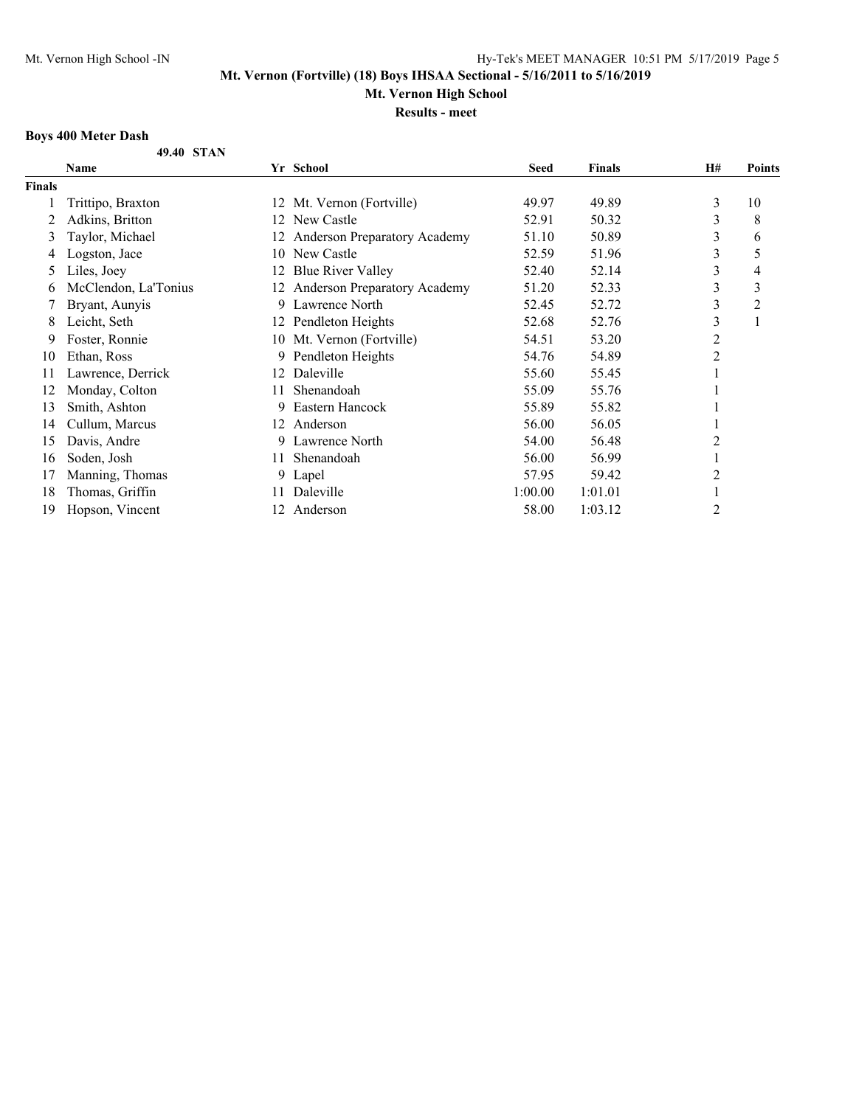**Mt. Vernon High School**

**Results - meet**

## **Boys 400 Meter Dash**

|               | Name                 |    | Yr School                       | <b>Seed</b> | <b>Finals</b> | <b>H#</b>      | Points |
|---------------|----------------------|----|---------------------------------|-------------|---------------|----------------|--------|
| <b>Finals</b> |                      |    |                                 |             |               |                |        |
|               | Trittipo, Braxton    | 12 | Mt. Vernon (Fortville)          | 49.97       | 49.89         | 3              | 10     |
|               | Adkins, Britton      | 12 | New Castle                      | 52.91       | 50.32         | 3              | 8      |
| 3             | Taylor, Michael      |    | 12 Anderson Preparatory Academy | 51.10       | 50.89         | 3              | 6      |
| 4             | Logston, Jace        | 10 | New Castle                      | 52.59       | 51.96         | 3              | 5      |
| 5.            | Liles, Joey          | 12 | <b>Blue River Valley</b>        | 52.40       | 52.14         | 3              | 4      |
| O             | McClendon, La'Tonius | 12 | Anderson Preparatory Academy    | 51.20       | 52.33         | 3              | 3      |
|               | Bryant, Aunyis       | 9  | Lawrence North                  | 52.45       | 52.72         | 3              | 2      |
| 8             | Leicht, Seth         |    | 12 Pendleton Heights            | 52.68       | 52.76         | 3              | 1      |
| 9             | Foster, Ronnie       |    | 10 Mt. Vernon (Fortville)       | 54.51       | 53.20         | $\overline{c}$ |        |
| 10            | Ethan, Ross          |    | 9 Pendleton Heights             | 54.76       | 54.89         | 2              |        |
| 11            | Lawrence, Derrick    | 12 | Daleville                       | 55.60       | 55.45         |                |        |
| 12            | Monday, Colton       | 11 | Shenandoah                      | 55.09       | 55.76         |                |        |
| 13            | Smith, Ashton        | 9  | Eastern Hancock                 | 55.89       | 55.82         |                |        |
| 14            | Cullum, Marcus       |    | 12 Anderson                     | 56.00       | 56.05         |                |        |
| 15            | Davis, Andre         | 9  | Lawrence North                  | 54.00       | 56.48         | $\overline{2}$ |        |
| 16            | Soden, Josh          | 11 | Shenandoah                      | 56.00       | 56.99         |                |        |
| 17            | Manning, Thomas      |    | 9 Lapel                         | 57.95       | 59.42         | 2              |        |
| 18            | Thomas, Griffin      | 11 | Daleville                       | 1:00.00     | 1:01.01       |                |        |
| 19            | Hopson, Vincent      |    | 12 Anderson                     | 58.00       | 1:03.12       | $\overline{2}$ |        |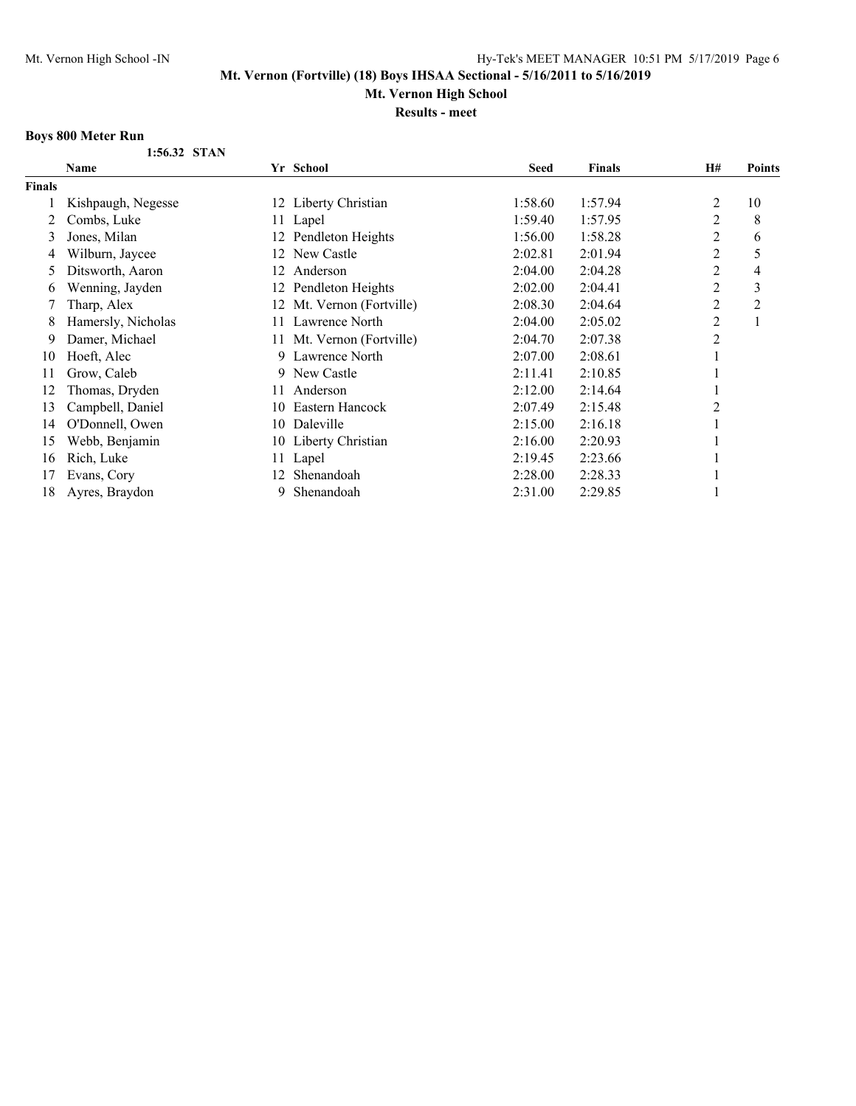**Mt. Vernon High School**

**Results - meet**

## **Boys 800 Meter Run**

**1:56.32 STAN**

|               | <b>Name</b>        |     | Yr School                 | <b>Seed</b> | <b>Finals</b> | <b>H#</b>      | <b>Points</b>  |
|---------------|--------------------|-----|---------------------------|-------------|---------------|----------------|----------------|
| <b>Finals</b> |                    |     |                           |             |               |                |                |
|               | Kishpaugh, Negesse |     | 12 Liberty Christian      | 1:58.60     | 1:57.94       | 2              | 10             |
|               | Combs, Luke        |     | 11 Lapel                  | 1:59.40     | 1:57.95       | 2              | 8              |
| 3             | Jones, Milan       |     | 12 Pendleton Heights      | 1:56.00     | 1:58.28       | 2              | 6              |
| 4             | Wilburn, Jaycee    | 12  | New Castle                | 2:02.81     | 2:01.94       | 2              | 5              |
| 5             | Ditsworth, Aaron   | 12  | Anderson                  | 2:04.00     | 2:04.28       | 2              | 4              |
| 6             | Wenning, Jayden    | 12  | Pendleton Heights         | 2:02.00     | 2:04.41       | 2              | 3              |
|               | Tharp, Alex        |     | 12 Mt. Vernon (Fortville) | 2:08.30     | 2:04.64       | 2              | $\overline{c}$ |
| 8             | Hamersly, Nicholas | 11. | Lawrence North            | 2:04.00     | 2:05.02       | 2              |                |
| 9             | Damer, Michael     |     | 11 Mt. Vernon (Fortville) | 2:04.70     | 2:07.38       | $\overline{c}$ |                |
| 10            | Hoeft, Alec        |     | 9 Lawrence North          | 2:07.00     | 2:08.61       |                |                |
| 11            | Grow, Caleb        | 9.  | New Castle                | 2:11.41     | 2:10.85       |                |                |
| 12            | Thomas, Dryden     | 11  | Anderson                  | 2:12.00     | 2:14.64       |                |                |
| 13            | Campbell, Daniel   | 10  | Eastern Hancock           | 2:07.49     | 2:15.48       | $\overline{2}$ |                |
| 14            | O'Donnell, Owen    | 10  | Daleville                 | 2:15.00     | 2:16.18       |                |                |
| 15            | Webb, Benjamin     |     | 10 Liberty Christian      | 2:16.00     | 2:20.93       |                |                |
| 16            | Rich, Luke         | 11  | Lapel                     | 2:19.45     | 2:23.66       |                |                |
| 17            | Evans, Cory        | 12  | Shenandoah                | 2:28.00     | 2:28.33       |                |                |
| 18            | Ayres, Braydon     | 9   | Shenandoah                | 2:31.00     | 2:29.85       |                |                |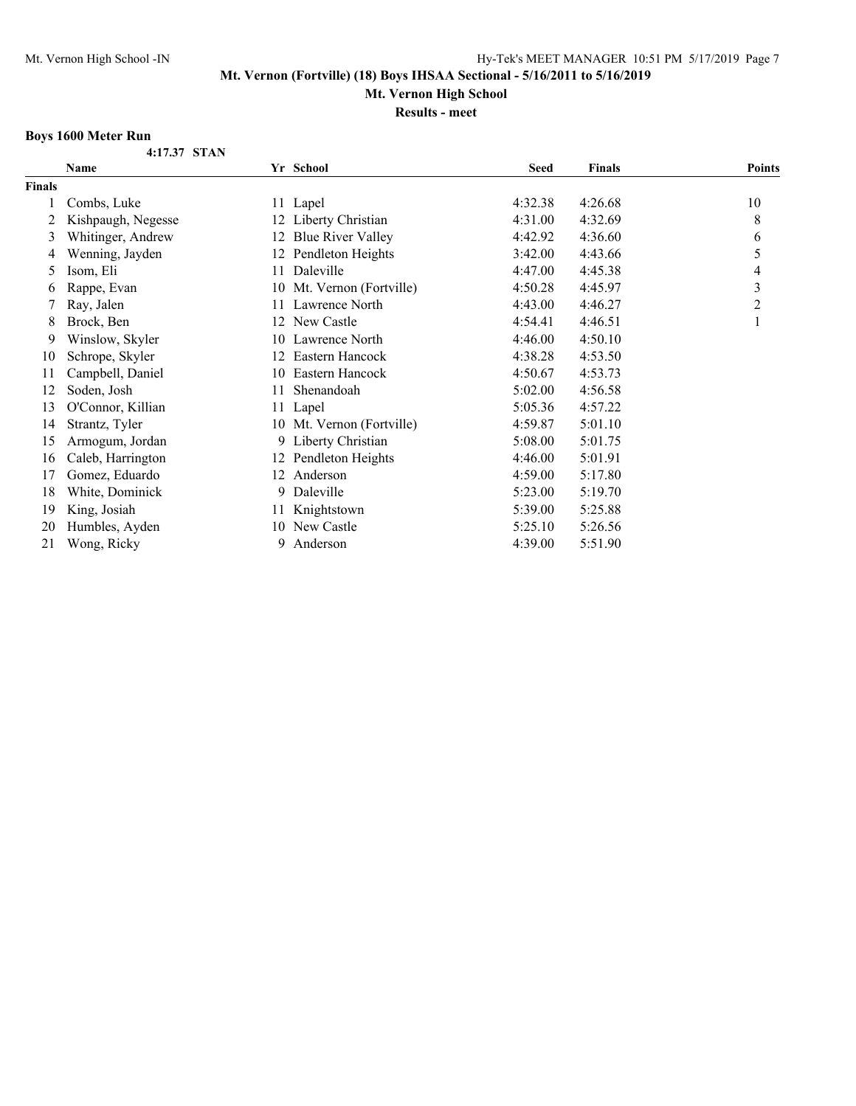**Mt. Vernon High School**

**Results - meet**

## **Boys 1600 Meter Run**

**4:17.37 STAN**

|        | Name               |    | Yr School                 | <b>Seed</b> | <b>Finals</b> | <b>Points</b> |
|--------|--------------------|----|---------------------------|-------------|---------------|---------------|
| Finals |                    |    |                           |             |               |               |
|        | Combs, Luke        |    | 11 Lapel                  | 4:32.38     | 4:26.68       | 10            |
| 2      | Kishpaugh, Negesse |    | 12 Liberty Christian      | 4:31.00     | 4:32.69       | 8             |
| 3      | Whitinger, Andrew  | 12 | <b>Blue River Valley</b>  | 4:42.92     | 4:36.60       | 6             |
| 4      | Wenning, Jayden    |    | 12 Pendleton Heights      | 3:42.00     | 4:43.66       | 5             |
| 5      | Isom, Eli          |    | 11 Daleville              | 4:47.00     | 4:45.38       | 4             |
| 6      | Rappe, Evan        | 10 | Mt. Vernon (Fortville)    | 4:50.28     | 4:45.97       | 3             |
|        | Ray, Jalen         | 11 | Lawrence North            | 4:43.00     | 4:46.27       | 2             |
| 8      | Brock, Ben         |    | 12 New Castle             | 4:54.41     | 4:46.51       |               |
| 9      | Winslow, Skyler    |    | 10 Lawrence North         | 4:46.00     | 4:50.10       |               |
| 10     | Schrope, Skyler    | 12 | Eastern Hancock           | 4:38.28     | 4:53.50       |               |
| 11     | Campbell, Daniel   |    | 10 Eastern Hancock        | 4:50.67     | 4:53.73       |               |
| 12     | Soden, Josh        | 11 | Shenandoah                | 5:02.00     | 4:56.58       |               |
| 13     | O'Connor, Killian  |    | 11 Lapel                  | 5:05.36     | 4:57.22       |               |
| 14     | Strantz, Tyler     |    | 10 Mt. Vernon (Fortville) | 4:59.87     | 5:01.10       |               |
| 15     | Armogum, Jordan    |    | 9 Liberty Christian       | 5:08.00     | 5:01.75       |               |
| 16     | Caleb, Harrington  | 12 | Pendleton Heights         | 4:46.00     | 5:01.91       |               |
| 17     | Gomez, Eduardo     | 12 | Anderson                  | 4:59.00     | 5:17.80       |               |
| 18     | White, Dominick    | 9  | Daleville                 | 5:23.00     | 5:19.70       |               |
| 19     | King, Josiah       | 11 | Knightstown               | 5:39.00     | 5:25.88       |               |
| 20     | Humbles, Ayden     | 10 | New Castle                | 5:25.10     | 5:26.56       |               |
| 21     | Wong, Ricky        | 9. | Anderson                  | 4:39.00     | 5:51.90       |               |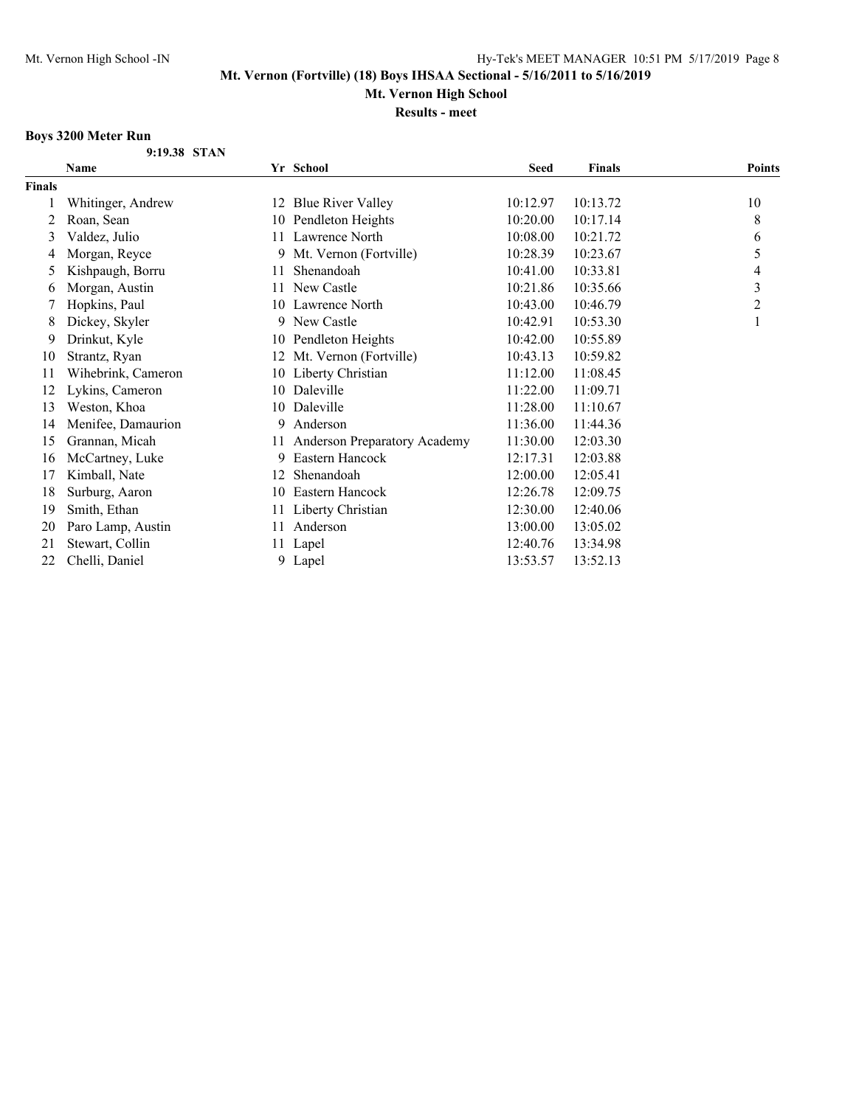**Mt. Vernon High School**

**Results - meet**

## **Boys 3200 Meter Run**

| 9:19.38 STAN |  |
|--------------|--|
|              |  |

|               | Name               |    | Yr School                    | <b>Seed</b> | Finals   | <b>Points</b>  |
|---------------|--------------------|----|------------------------------|-------------|----------|----------------|
| <b>Finals</b> |                    |    |                              |             |          |                |
|               | Whitinger, Andrew  |    | 12 Blue River Valley         | 10:12.97    | 10:13.72 | 10             |
| 2             | Roan, Sean         |    | 10 Pendleton Heights         | 10:20.00    | 10:17.14 | $\,8\,$        |
| 3             | Valdez, Julio      |    | 11 Lawrence North            | 10:08.00    | 10:21.72 | 6              |
| 4             | Morgan, Reyce      | 9  | Mt. Vernon (Fortville)       | 10:28.39    | 10:23.67 | 5              |
| 5             | Kishpaugh, Borru   | 11 | Shenandoah                   | 10:41.00    | 10:33.81 | 4              |
| 6             | Morgan, Austin     |    | 11 New Castle                | 10:21.86    | 10:35.66 | 3              |
|               | Hopkins, Paul      |    | 10 Lawrence North            | 10:43.00    | 10:46.79 | $\overline{2}$ |
| 8             | Dickey, Skyler     |    | 9 New Castle                 | 10:42.91    | 10:53.30 | 1              |
| 9             | Drinkut, Kyle      | 10 | Pendleton Heights            | 10:42.00    | 10:55.89 |                |
| 10            | Strantz, Ryan      |    | Mt. Vernon (Fortville)       | 10:43.13    | 10:59.82 |                |
| 11            | Wihebrink, Cameron |    | 10 Liberty Christian         | 11:12.00    | 11:08.45 |                |
| 12            | Lykins, Cameron    |    | 10 Daleville                 | 11:22.00    | 11:09.71 |                |
| 13            | Weston, Khoa       |    | 10 Daleville                 | 11:28.00    | 11:10.67 |                |
| 14            | Menifee, Damaurion | 9. | Anderson                     | 11:36.00    | 11:44.36 |                |
| 15            | Grannan, Micah     | 11 | Anderson Preparatory Academy | 11:30.00    | 12:03.30 |                |
| 16            | McCartney, Luke    | 9. | Eastern Hancock              | 12:17.31    | 12:03.88 |                |
| 17            | Kimball, Nate      | 12 | Shenandoah                   | 12:00.00    | 12:05.41 |                |
| 18            | Surburg, Aaron     | 10 | Eastern Hancock              | 12:26.78    | 12:09.75 |                |
| 19            | Smith, Ethan       | 11 | Liberty Christian            | 12:30.00    | 12:40.06 |                |
| 20            | Paro Lamp, Austin  | 11 | Anderson                     | 13:00.00    | 13:05.02 |                |
| 21            | Stewart, Collin    |    | 11 Lapel                     | 12:40.76    | 13:34.98 |                |
| 22            | Chelli, Daniel     | 9  | Lapel                        | 13:53.57    | 13:52.13 |                |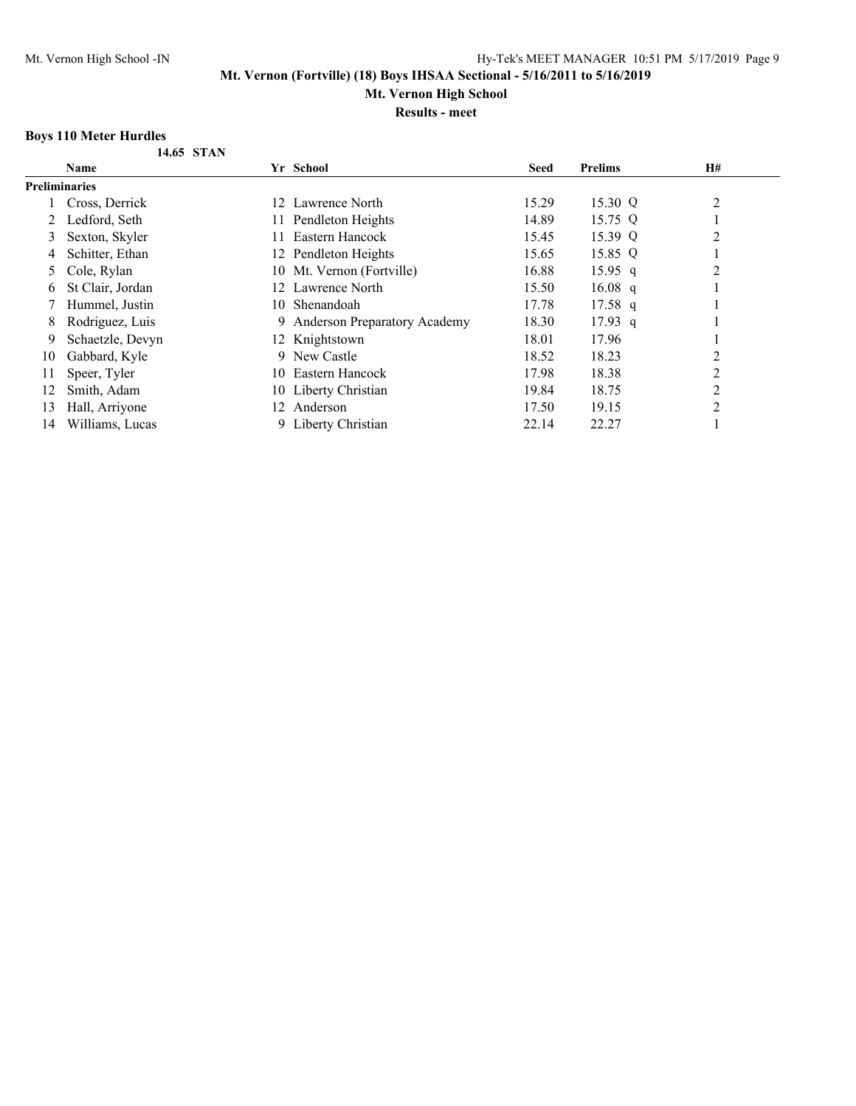## **Mt. Vernon High School**

**Results - meet**

## **Boys 110 Meter Hurdles**

**14.65 STAN**

|                      | <b>Name</b>      |     | Yr School                      | <b>Seed</b> | <b>Prelims</b> | H#             |  |
|----------------------|------------------|-----|--------------------------------|-------------|----------------|----------------|--|
| <b>Preliminaries</b> |                  |     |                                |             |                |                |  |
|                      | Cross, Derrick   | 12. | Lawrence North                 | 15.29       | 15.30 Q        | 2              |  |
|                      | Ledford, Seth    |     | 11 Pendleton Heights           | 14.89       | 15.75 Q        |                |  |
| 3                    | Sexton, Skyler   | 11. | Eastern Hancock                | 15.45       | 15.39 Q        | $\overline{2}$ |  |
| 4                    | Schitter, Ethan  |     | 12 Pendleton Heights           | 15.65       | 15.85 Q        |                |  |
| 5.                   | Cole, Rylan      |     | 10 Mt. Vernon (Fortville)      | 16.88       | $15.95$ q      | 2              |  |
| 6                    | St Clair, Jordan |     | 12 Lawrence North              | 15.50       | $16.08$ q      |                |  |
|                      | Hummel, Justin   |     | 10 Shenandoah                  | 17.78       | $17.58$ q      |                |  |
| 8                    | Rodriguez, Luis  |     | 9 Anderson Preparatory Academy | 18.30       | $17.93$ q      |                |  |
| 9                    | Schaetzle, Devyn |     | 12 Knightstown                 | 18.01       | 17.96          |                |  |
| 10                   | Gabbard, Kyle    | 9.  | New Castle                     | 18.52       | 18.23          | 2              |  |
| 11                   | Speer, Tyler     | 10. | Eastern Hancock                | 17.98       | 18.38          | $\overline{2}$ |  |
| 12                   | Smith, Adam      |     | 10 Liberty Christian           | 19.84       | 18.75          | 2              |  |
| 13                   | Hall, Arriyone   | 12. | Anderson                       | 17.50       | 19.15          | 2              |  |
| 14                   | Williams, Lucas  |     | 9 Liberty Christian            | 22.14       | 22.27          |                |  |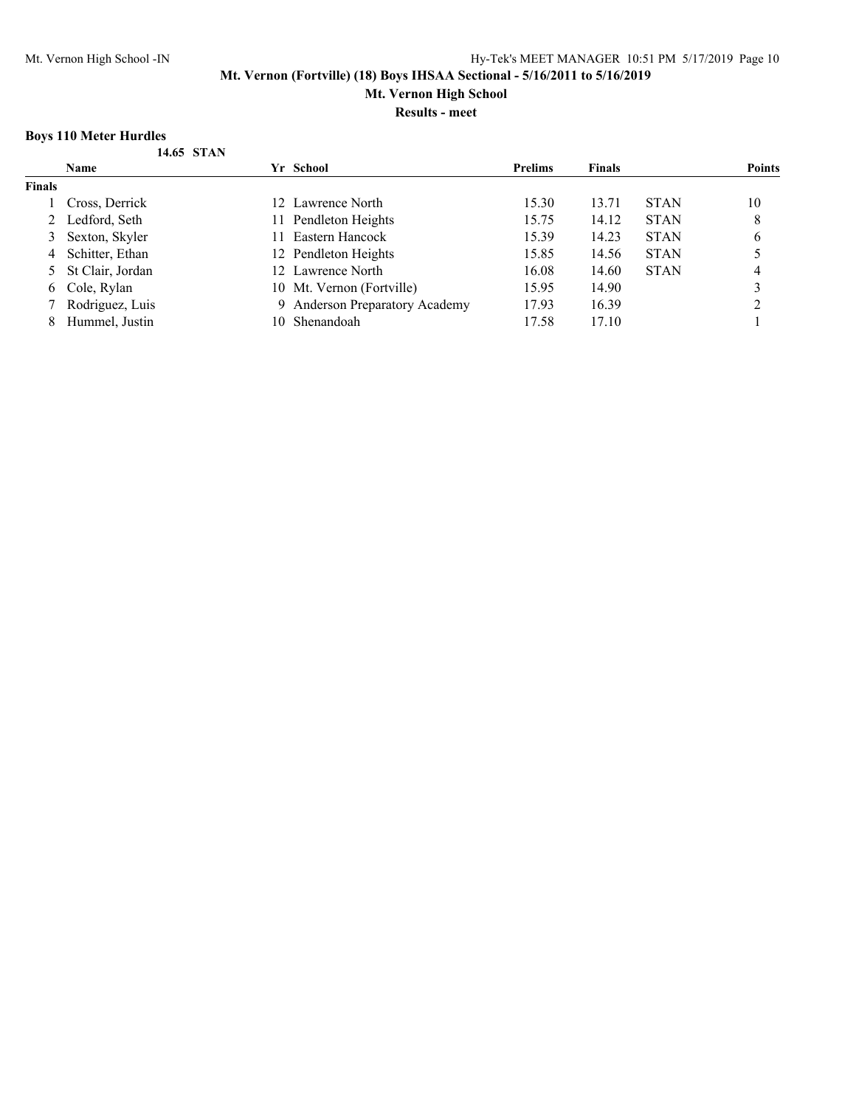**Mt. Vernon High School**

**Results - meet**

## **Boys 110 Meter Hurdles**

|  | 14.65 STAN |
|--|------------|
|  |            |

|               | <b>Name</b>        |     | Yr School                      | <b>Prelims</b> | <b>Finals</b> |             | <b>Points</b> |
|---------------|--------------------|-----|--------------------------------|----------------|---------------|-------------|---------------|
| <b>Finals</b> |                    |     |                                |                |               |             |               |
|               | Cross, Derrick     |     | 12 Lawrence North              | 15.30          | 13.71         | <b>STAN</b> | 10            |
|               | 2 Ledford, Seth    | 11. | Pendleton Heights              | 15.75          | 14.12         | <b>STAN</b> | 8             |
| 3             | Sexton, Skyler     |     | Eastern Hancock                | 15.39          | 14.23         | <b>STAN</b> | 6             |
| 4             | Schitter, Ethan    |     | 12 Pendleton Heights           | 15.85          | 14.56         | <b>STAN</b> |               |
|               | 5 St Clair, Jordan |     | 12 Lawrence North              | 16.08          | 14.60         | <b>STAN</b> | 4             |
|               | 6 Cole, Rylan      |     | 10 Mt. Vernon (Fortville)      | 15.95          | 14.90         |             |               |
|               | Rodriguez, Luis    |     | 9 Anderson Preparatory Academy | 17.93          | 16.39         |             |               |
| 8             | Hummel, Justin     | 10. | Shenandoah                     | 17.58          | 17.10         |             |               |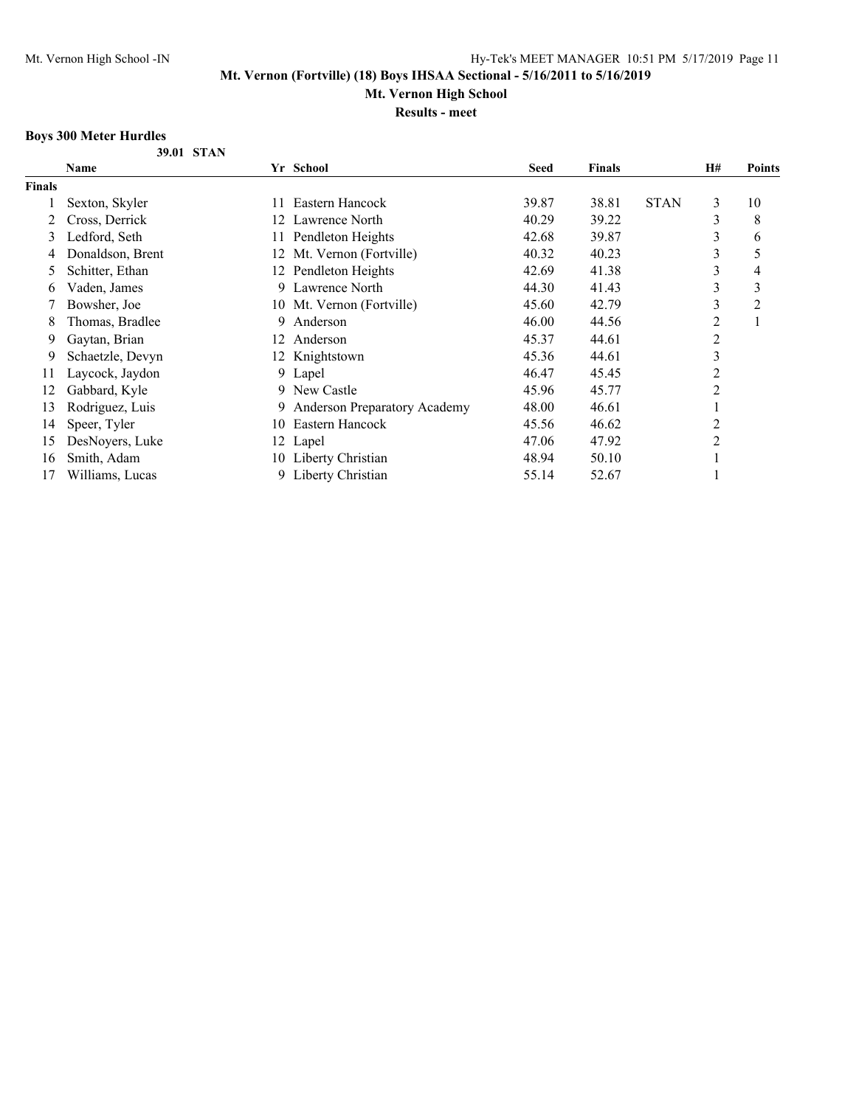## **Mt. Vernon High School**

**Results - meet**

## **Boys 300 Meter Hurdles**

**39.01 STAN**

|        | Name             |     | Yr School                           | <b>Seed</b> | <b>Finals</b> |             | <b>H#</b> | <b>Points</b>  |
|--------|------------------|-----|-------------------------------------|-------------|---------------|-------------|-----------|----------------|
| Finals |                  |     |                                     |             |               |             |           |                |
|        | Sexton, Skyler   |     | Eastern Hancock                     | 39.87       | 38.81         | <b>STAN</b> | 3         | 10             |
|        | Cross, Derrick   | 12  | Lawrence North                      | 40.29       | 39.22         |             | 3         | 8              |
| 3      | Ledford, Seth    | 11. | Pendleton Heights                   | 42.68       | 39.87         |             | 3         | 6              |
|        | Donaldson, Brent |     | 12 Mt. Vernon (Fortville)           | 40.32       | 40.23         |             | 3         | 5              |
| 5      | Schitter, Ethan  |     | 12 Pendleton Heights                | 42.69       | 41.38         |             | 3         | $\overline{4}$ |
| 6      | Vaden, James     | 9   | Lawrence North                      | 44.30       | 41.43         |             | 3         | 3              |
|        | Bowsher, Joe     |     | 10 Mt. Vernon (Fortville)           | 45.60       | 42.79         |             | 3         | $\overline{c}$ |
| 8      | Thomas, Bradlee  | 9   | Anderson                            | 46.00       | 44.56         |             | 2         |                |
| 9      | Gaytan, Brian    | 12  | Anderson                            | 45.37       | 44.61         |             | 2         |                |
| 9      | Schaetzle, Devyn |     | 12 Knightstown                      | 45.36       | 44.61         |             | 3         |                |
| 11     | Laycock, Jaydon  |     | 9 Lapel                             | 46.47       | 45.45         |             | 2         |                |
| 12     | Gabbard, Kyle    |     | 9 New Castle                        | 45.96       | 45.77         |             | 2         |                |
| 13     | Rodriguez, Luis  | 9   | <b>Anderson Preparatory Academy</b> | 48.00       | 46.61         |             |           |                |
| 14     | Speer, Tyler     | 10  | Eastern Hancock                     | 45.56       | 46.62         |             | 2         |                |
| 15     | DesNoyers, Luke  |     | 12 Lapel                            | 47.06       | 47.92         |             | 2         |                |
| 16     | Smith, Adam      |     | 10 Liberty Christian                | 48.94       | 50.10         |             |           |                |
| 17     | Williams, Lucas  | 9   | Liberty Christian                   | 55.14       | 52.67         |             |           |                |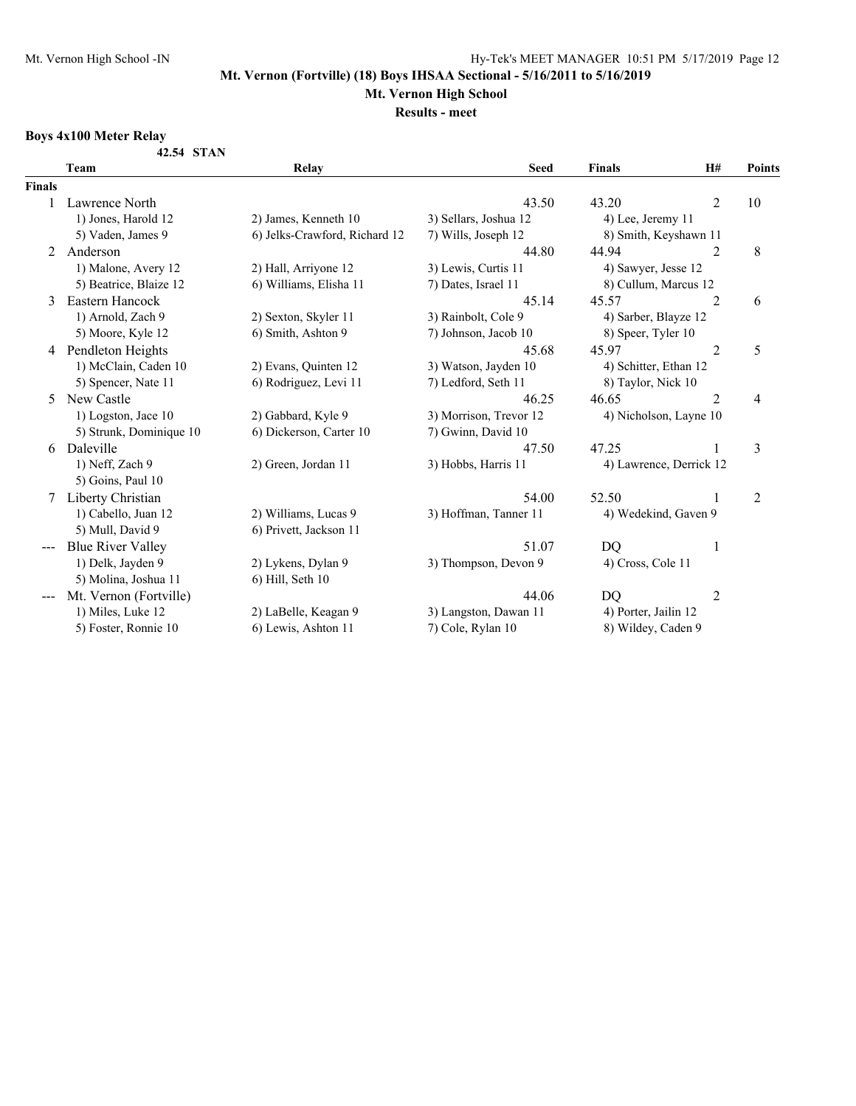# **Mt. Vernon High School**

**Results - meet**

## **Boys 4x100 Meter Relay**

**42.54 STAN**

|                      | Team                     | Relay                         | <b>Seed</b>            | <b>Finals</b>           | H#             | Points         |
|----------------------|--------------------------|-------------------------------|------------------------|-------------------------|----------------|----------------|
| <b>Finals</b>        |                          |                               |                        |                         |                |                |
|                      | Lawrence North           |                               | 43.50                  | 43.20                   | $\overline{2}$ | 10             |
| 1) Jones, Harold 12  |                          | 2) James, Kenneth 10          |                        | 4) Lee, Jeremy 11       |                |                |
|                      | 5) Vaden, James 9        | 6) Jelks-Crawford, Richard 12 | 7) Wills, Joseph 12    | 8) Smith, Keyshawn 11   |                |                |
| 2                    | Anderson                 |                               | 44.80                  | 44.94                   | 2              | $\,8\,$        |
|                      | 1) Malone, Avery 12      | 2) Hall, Arriyone 12          | 3) Lewis, Curtis 11    | 4) Sawyer, Jesse 12     |                |                |
|                      | 5) Beatrice, Blaize 12   | 6) Williams, Elisha 11        | 7) Dates, Israel 11    | 8) Cullum, Marcus 12    |                |                |
| 3                    | Eastern Hancock          |                               | 45.14                  | 45.57                   | $\overline{2}$ | 6              |
|                      | 1) Arnold, Zach 9        | 2) Sexton, Skyler 11          | 3) Rainbolt, Cole 9    | 4) Sarber, Blayze 12    |                |                |
|                      | 5) Moore, Kyle 12        | 6) Smith, Ashton 9            | 7) Johnson, Jacob 10   | 8) Speer, Tyler 10      |                |                |
| 4                    | Pendleton Heights        |                               | 45.68                  | 45.97                   | $\overline{2}$ | 5              |
| 1) McClain, Caden 10 |                          | 2) Evans, Quinten 12          | 3) Watson, Jayden 10   | 4) Schitter, Ethan 12   |                |                |
|                      | 5) Spencer, Nate 11      | 6) Rodriguez, Levi 11         | 7) Ledford, Seth 11    | 8) Taylor, Nick 10      |                |                |
| 5                    | New Castle               |                               | 46.25                  | 46.65                   | $\overline{2}$ | 4              |
|                      | 1) Logston, Jace 10      | 2) Gabbard, Kyle 9            | 3) Morrison, Trevor 12 | 4) Nicholson, Layne 10  |                |                |
|                      | 5) Strunk, Dominique 10  | 6) Dickerson, Carter 10       | 7) Gwinn, David 10     |                         |                |                |
| 6                    | Daleville                |                               | 47.50                  | 47.25                   |                | 3              |
|                      | 1) Neff, Zach 9          | 2) Green, Jordan 11           | 3) Hobbs, Harris 11    | 4) Lawrence, Derrick 12 |                |                |
|                      | 5) Goins, Paul 10        |                               |                        |                         |                |                |
| 7                    | Liberty Christian        |                               | 54.00                  | 52.50                   | 1              | $\overline{2}$ |
|                      | 1) Cabello, Juan 12      | 2) Williams, Lucas 9          | 3) Hoffman, Tanner 11  | 4) Wedekind, Gaven 9    |                |                |
|                      | 5) Mull, David 9         | 6) Privett, Jackson 11        |                        |                         |                |                |
|                      | <b>Blue River Valley</b> |                               | 51.07                  | DQ                      | 1              |                |
|                      | 1) Delk, Jayden 9        | 2) Lykens, Dylan 9            | 3) Thompson, Devon 9   | 4) Cross, Cole 11       |                |                |
|                      | 5) Molina, Joshua 11     | 6) Hill, Seth 10              |                        |                         |                |                |
|                      | Mt. Vernon (Fortville)   |                               | 44.06                  | DQ                      | $\overline{2}$ |                |
|                      | 1) Miles, Luke 12        | 2) LaBelle, Keagan 9          | 3) Langston, Dawan 11  | 4) Porter, Jailin 12    |                |                |
|                      | 5) Foster, Ronnie 10     | 6) Lewis, Ashton 11           | 7) Cole, Rylan 10      | 8) Wildey, Caden 9      |                |                |
|                      |                          |                               |                        |                         |                |                |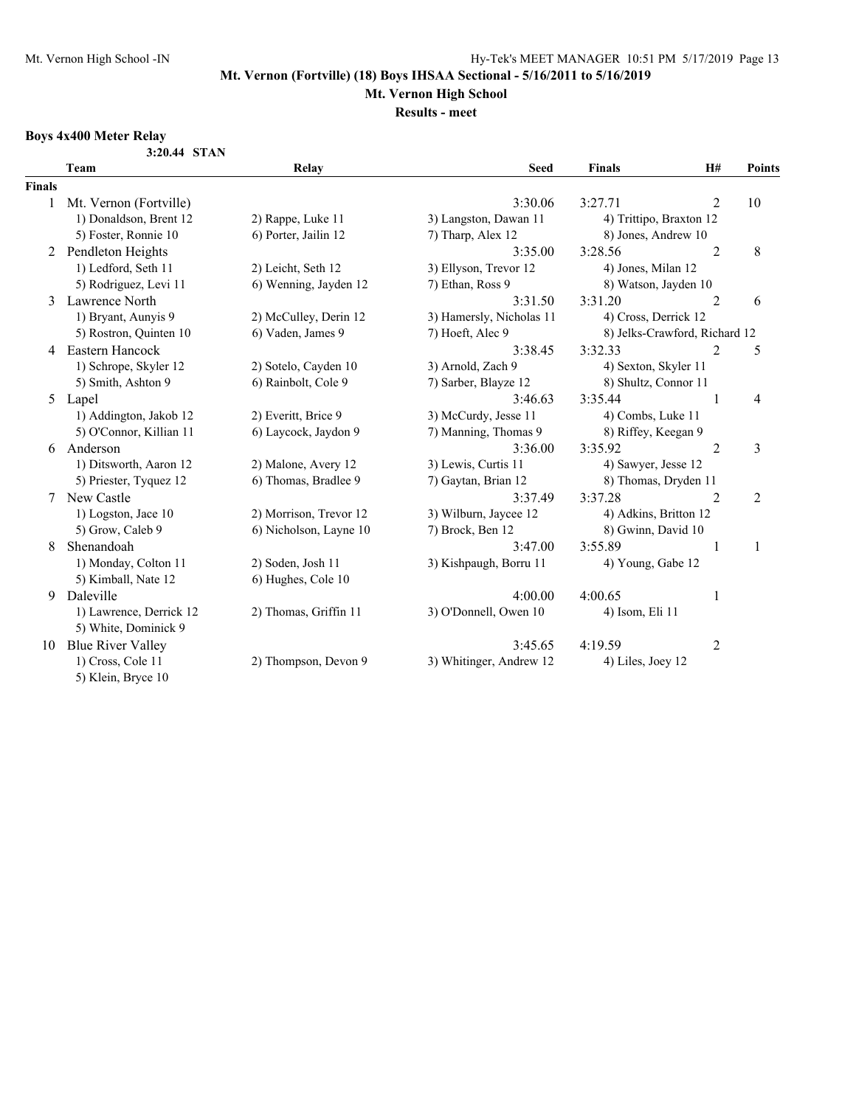# **Mt. Vernon High School**

#### **Results - meet**

## **Boys 4x400 Meter Relay**

| 3:20.44 STAN |  |
|--------------|--|
|              |  |

|               | Team                     | Relay                  | <b>Seed</b>              | <b>Finals</b>                 | H#             | Points         |
|---------------|--------------------------|------------------------|--------------------------|-------------------------------|----------------|----------------|
| <b>Finals</b> |                          |                        |                          |                               |                |                |
| $\mathbf{1}$  | Mt. Vernon (Fortville)   |                        | 3:30.06                  | 3:27.71                       | 2              | 10             |
|               | 1) Donaldson, Brent 12   | 2) Rappe, Luke 11      | 3) Langston, Dawan 11    | 4) Trittipo, Braxton 12       |                |                |
|               | 5) Foster, Ronnie 10     | 6) Porter, Jailin 12   | 7) Tharp, Alex 12        | 8) Jones, Andrew 10           |                |                |
| 2             | Pendleton Heights        |                        | 3:35.00                  | 3:28.56                       | $\overline{2}$ | 8              |
|               | 1) Ledford, Seth 11      | 2) Leicht, Seth 12     | 3) Ellyson, Trevor 12    | 4) Jones, Milan 12            |                |                |
|               | 5) Rodriguez, Levi 11    | 6) Wenning, Jayden 12  | 7) Ethan, Ross 9         | 8) Watson, Jayden 10          |                |                |
| 3             | Lawrence North           |                        | 3:31.50                  | 3:31.20                       | $\overline{2}$ | 6              |
|               | 1) Bryant, Aunyis 9      | 2) McCulley, Derin 12  | 3) Hamersly, Nicholas 11 | 4) Cross, Derrick 12          |                |                |
|               | 5) Rostron, Quinten 10   | 6) Vaden, James 9      | 7) Hoeft, Alec 9         | 8) Jelks-Crawford, Richard 12 |                |                |
| 4             | Eastern Hancock          |                        | 3:38.45                  | 3:32.33                       | $\overline{2}$ | 5              |
|               | 1) Schrope, Skyler 12    | 2) Sotelo, Cayden 10   | 3) Arnold, Zach 9        | 4) Sexton, Skyler 11          |                |                |
|               | 5) Smith, Ashton 9       | 6) Rainbolt, Cole 9    | 7) Sarber, Blayze 12     | 8) Shultz, Connor 11          |                |                |
|               | 5 Lapel                  |                        | 3:46.63                  | 3:35.44                       | 1              | 4              |
|               | 1) Addington, Jakob 12   | 2) Everitt, Brice 9    | 3) McCurdy, Jesse 11     | 4) Combs, Luke 11             |                |                |
|               | 5) O'Connor, Killian 11  | 6) Laycock, Jaydon 9   | 7) Manning, Thomas 9     | 8) Riffey, Keegan 9           |                |                |
| 6             | Anderson                 |                        | 3:36.00                  | 3:35.92                       | $\overline{2}$ | 3              |
|               | 1) Ditsworth, Aaron 12   | 2) Malone, Avery 12    | 3) Lewis, Curtis 11      | 4) Sawyer, Jesse 12           |                |                |
|               | 5) Priester, Tyquez 12   | 6) Thomas, Bradlee 9   | 7) Gaytan, Brian 12      | 8) Thomas, Dryden 11          |                |                |
|               | New Castle               |                        | 3:37.49                  | 3:37.28                       | $\overline{2}$ | $\overline{2}$ |
|               | 1) Logston, Jace 10      | 2) Morrison, Trevor 12 | 3) Wilburn, Jaycee 12    | 4) Adkins, Britton 12         |                |                |
|               | 5) Grow, Caleb 9         | 6) Nicholson, Layne 10 | 7) Brock, Ben 12         | 8) Gwinn, David 10            |                |                |
| 8             | Shenandoah               |                        | 3:47.00                  | 3:55.89                       | 1              | 1              |
|               | 1) Monday, Colton 11     | 2) Soden, Josh 11      | 3) Kishpaugh, Borru 11   | 4) Young, Gabe 12             |                |                |
|               | 5) Kimball, Nate 12      | 6) Hughes, Cole 10     |                          |                               |                |                |
| 9             | Daleville                |                        | 4:00.00                  | 4:00.65                       | 1              |                |
|               | 1) Lawrence, Derrick 12  | 2) Thomas, Griffin 11  | 3) O'Donnell, Owen 10    | 4) Isom, Eli 11               |                |                |
|               | 5) White, Dominick 9     |                        |                          |                               |                |                |
| 10            | <b>Blue River Valley</b> |                        | 3:45.65                  | 4:19.59                       | $\overline{c}$ |                |
|               | 1) Cross, Cole 11        | 2) Thompson, Devon 9   | 3) Whitinger, Andrew 12  | 4) Liles, Joey 12             |                |                |
|               | 5) Klein, Bryce 10       |                        |                          |                               |                |                |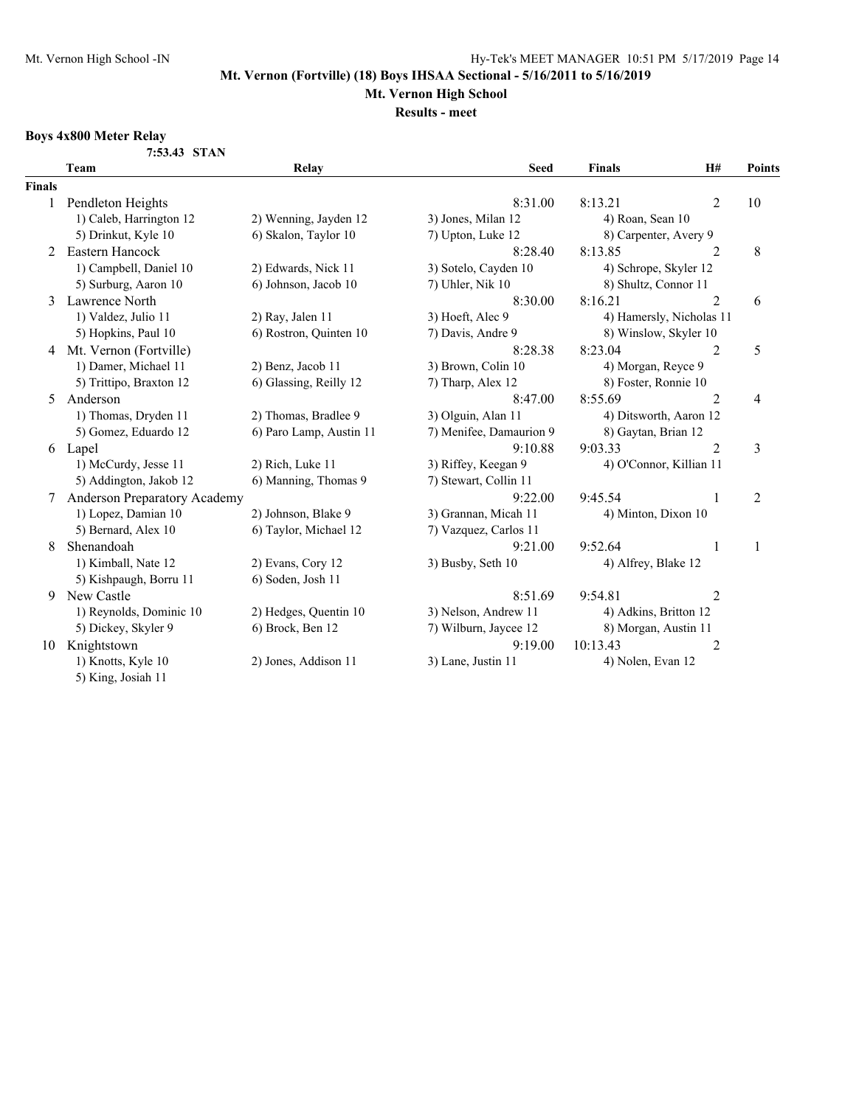# **Mt. Vernon High School**

**Results - meet**

## **Boys 4x800 Meter Relay**

**7:53.43 STAN**

|               | Team                         | Relay                   | <b>Seed</b>             | <b>Finals</b>            | H#             | <b>Points</b>  |
|---------------|------------------------------|-------------------------|-------------------------|--------------------------|----------------|----------------|
| <b>Finals</b> |                              |                         |                         |                          |                |                |
|               | Pendleton Heights            |                         | 8:31.00                 | 8:13.21                  | 2              | 10             |
|               | 1) Caleb, Harrington 12      | 2) Wenning, Jayden 12   | 3) Jones, Milan 12      | 4) Roan, Sean 10         |                |                |
|               | 5) Drinkut, Kyle 10          | 6) Skalon, Taylor 10    | 7) Upton, Luke 12       | 8) Carpenter, Avery 9    |                |                |
| 2             | Eastern Hancock              |                         | 8:28.40                 | 8:13.85                  | 2              | 8              |
|               | 1) Campbell, Daniel 10       | 2) Edwards, Nick 11     | 3) Sotelo, Cayden 10    | 4) Schrope, Skyler 12    |                |                |
|               | 5) Surburg, Aaron 10         | 6) Johnson, Jacob 10    | 7) Uhler, Nik 10        | 8) Shultz, Connor 11     |                |                |
| 3             | Lawrence North               |                         | 8:30.00                 | 8:16.21                  | $\overline{2}$ | 6              |
|               | 1) Valdez, Julio 11          | 2) Ray, Jalen 11        | 3) Hoeft, Alec 9        | 4) Hamersly, Nicholas 11 |                |                |
|               | 5) Hopkins, Paul 10          | 6) Rostron, Quinten 10  | 7) Davis, Andre 9       | 8) Winslow, Skyler 10    |                |                |
| 4             | Mt. Vernon (Fortville)       |                         | 8:28.38                 | 8:23.04                  | 2              | 5              |
|               | 1) Damer, Michael 11         | 2) Benz, Jacob 11       | 3) Brown, Colin 10      | 4) Morgan, Reyce 9       |                |                |
|               | 5) Trittipo, Braxton 12      | 6) Glassing, Reilly 12  | 7) Tharp, Alex 12       | 8) Foster, Ronnie 10     |                |                |
| 5             | Anderson                     |                         | 8:47.00                 | 8:55.69                  | 2              | 4              |
|               | 1) Thomas, Dryden 11         | 2) Thomas, Bradlee 9    | 3) Olguin, Alan 11      | 4) Ditsworth, Aaron 12   |                |                |
|               | 5) Gomez, Eduardo 12         | 6) Paro Lamp, Austin 11 | 7) Menifee, Damaurion 9 | 8) Gaytan, Brian 12      |                |                |
| 6             | Lapel                        |                         | 9:10.88                 | 9:03.33                  | $\overline{2}$ | 3              |
|               | 1) McCurdy, Jesse 11         | 2) Rich, Luke 11        | 3) Riffey, Keegan 9     | 4) O'Connor, Killian 11  |                |                |
|               | 5) Addington, Jakob 12       | 6) Manning, Thomas 9    | 7) Stewart, Collin 11   |                          |                |                |
|               | Anderson Preparatory Academy |                         | 9:22.00                 | 9:45.54                  | 1              | $\overline{2}$ |
|               | 1) Lopez, Damian 10          | 2) Johnson, Blake 9     | 3) Grannan, Micah 11    | 4) Minton, Dixon 10      |                |                |
|               | 5) Bernard, Alex 10          | 6) Taylor, Michael 12   | 7) Vazquez, Carlos 11   |                          |                |                |
| 8             | Shenandoah                   |                         | 9:21.00                 | 9:52.64                  |                | 1              |
|               | 1) Kimball, Nate 12          | 2) Evans, Cory 12       | 3) Busby, Seth 10       | 4) Alfrey, Blake 12      |                |                |
|               | 5) Kishpaugh, Borru 11       | 6) Soden, Josh 11       |                         |                          |                |                |
| 9             | New Castle                   |                         | 8:51.69                 | 9:54.81                  | 2              |                |
|               | 1) Reynolds, Dominic 10      | 2) Hedges, Quentin 10   | 3) Nelson, Andrew 11    | 4) Adkins, Britton 12    |                |                |
|               | 5) Dickey, Skyler 9          | 6) Brock, Ben 12        | 7) Wilburn, Jaycee 12   | 8) Morgan, Austin 11     |                |                |
| 10            | Knightstown                  |                         | 9:19.00                 | 10:13.43                 | 2              |                |
|               | 1) Knotts, Kyle 10           | 2) Jones, Addison 11    | 3) Lane, Justin 11      | 4) Nolen, Evan 12        |                |                |
|               | 5) King, Josiah 11           |                         |                         |                          |                |                |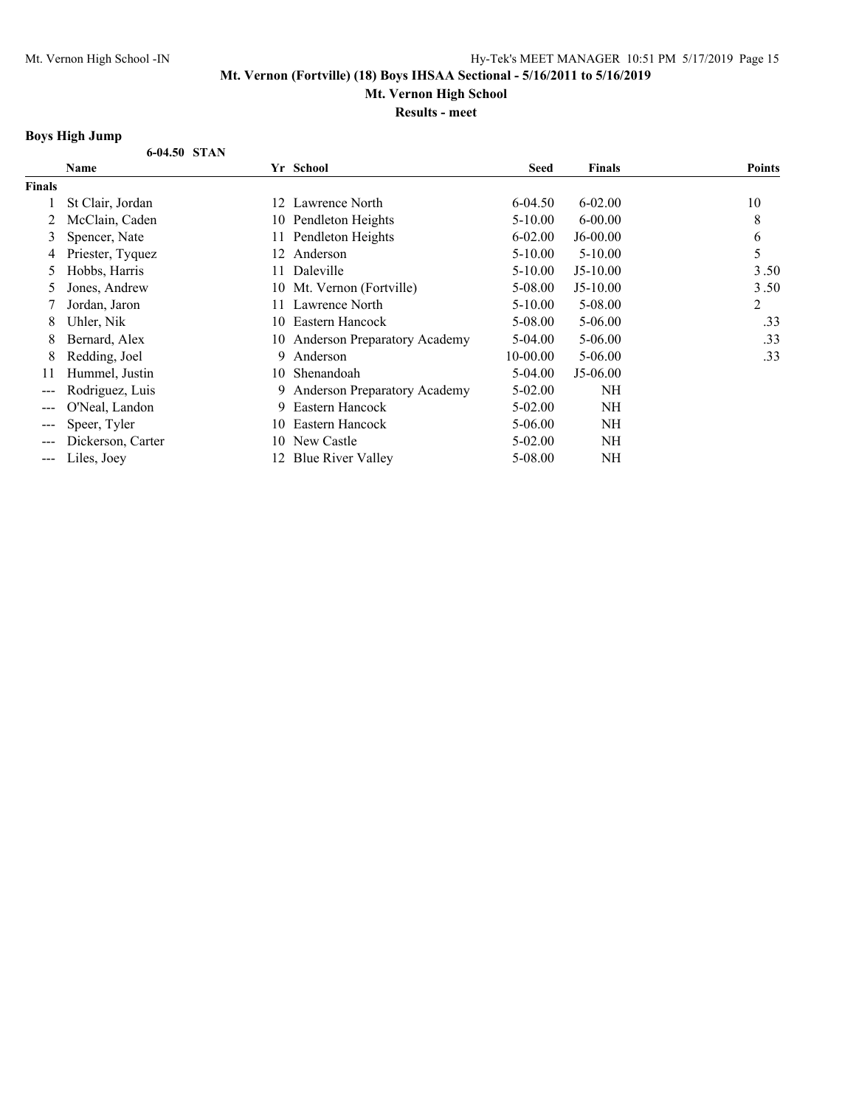**Mt. Vernon High School**

**Results - meet**

## **Boys High Jump**

|                        | ротэ гиди ойшр    |    |                                     |             |               |               |
|------------------------|-------------------|----|-------------------------------------|-------------|---------------|---------------|
|                        | 6-04.50 STAN      |    |                                     |             |               |               |
|                        | Name              |    | Yr School                           | <b>Seed</b> | <b>Finals</b> | <b>Points</b> |
| <b>Finals</b>          |                   |    |                                     |             |               |               |
|                        | St Clair, Jordan  | 12 | Lawrence North                      | 6-04.50     | $6 - 02.00$   | 10            |
|                        | McClain, Caden    | 10 | Pendleton Heights                   | 5-10.00     | $6 - 00.00$   | 8             |
| 3                      | Spencer, Nate     | 11 | Pendleton Heights                   | $6 - 02.00$ | $J6-00.00$    | 6             |
| 4                      | Priester, Tyquez  | 12 | Anderson                            | $5-10.00$   | $5 - 10.00$   | 5             |
| 5                      | Hobbs, Harris     | 11 | Daleville                           | $5-10.00$   | $J5-10.00$    | 3.50          |
| 5                      | Jones, Andrew     | 10 | Mt. Vernon (Fortville)              | 5-08.00     | $J5-10.00$    | 3.50          |
|                        | Jordan, Jaron     | 11 | Lawrence North                      | $5-10.00$   | 5-08.00       | 2             |
| 8                      | Uhler, Nik        | 10 | Eastern Hancock                     | 5-08.00     | $5 - 06.00$   | .33           |
| 8                      | Bernard, Alex     |    | 10 Anderson Preparatory Academy     | 5-04.00     | $5 - 06.00$   | .33           |
| 8                      | Redding, Joel     | 9  | Anderson                            | 10-00.00    | $5 - 06.00$   | .33           |
| 11                     | Hummel, Justin    | 10 | Shenandoah                          | 5-04.00     | $J5-06.00$    |               |
| ---                    | Rodriguez, Luis   | 9  | <b>Anderson Preparatory Academy</b> | 5-02.00     | NH            |               |
|                        | O'Neal, Landon    | 9  | Eastern Hancock                     | 5-02.00     | NH            |               |
| $---$                  | Speer, Tyler      | 10 | Eastern Hancock                     | 5-06.00     | NH            |               |
|                        | Dickerson, Carter | 10 | New Castle                          | $5 - 02.00$ | NH            |               |
| $\qquad \qquad \cdots$ | Liles, Joey       | 12 | <b>Blue River Valley</b>            | 5-08.00     | NH            |               |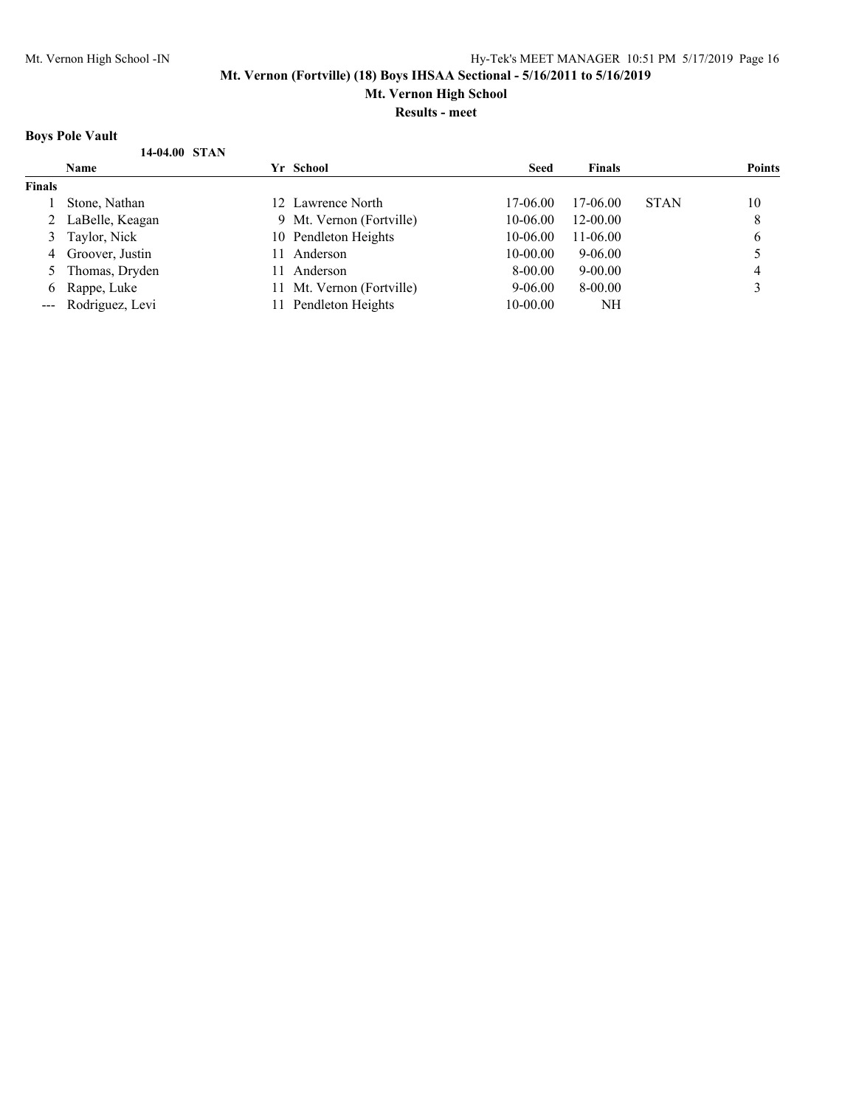**Mt. Vernon High School**

**Results - meet**

## **Boys Pole Vault**

| DUIS LUIU I AUIL |                     |     |                           |             |               |             |               |  |
|------------------|---------------------|-----|---------------------------|-------------|---------------|-------------|---------------|--|
|                  | 14-04.00 STAN       |     |                           |             |               |             |               |  |
|                  | <b>Name</b>         |     | Yr School                 | <b>Seed</b> | <b>Finals</b> |             | <b>Points</b> |  |
| Finals           |                     |     |                           |             |               |             |               |  |
|                  | Stone, Nathan       |     | 12 Lawrence North         | 17-06.00    | 17-06.00      | <b>STAN</b> | 10            |  |
|                  | 2 LaBelle, Keagan   |     | 9 Mt. Vernon (Fortville)  | 10-06.00    | $12 - 00.00$  |             | 8             |  |
|                  | 3 Taylor, Nick      |     | 10 Pendleton Heights      | 10-06.00    | 11-06.00      |             | 6             |  |
| 4                | Groover, Justin     | 71. | Anderson                  | 10-00.00    | 9-06.00       |             |               |  |
|                  | Thomas, Dryden      | 11  | Anderson                  | 8-00.00     | $9 - 00.00$   |             | 4             |  |
| 6                | Rappe, Luke         |     | 11 Mt. Vernon (Fortville) | $9 - 06.00$ | 8-00.00       |             |               |  |
|                  | --- Rodriguez, Levi |     | 11 Pendleton Heights      | 10-00.00    | NH            |             |               |  |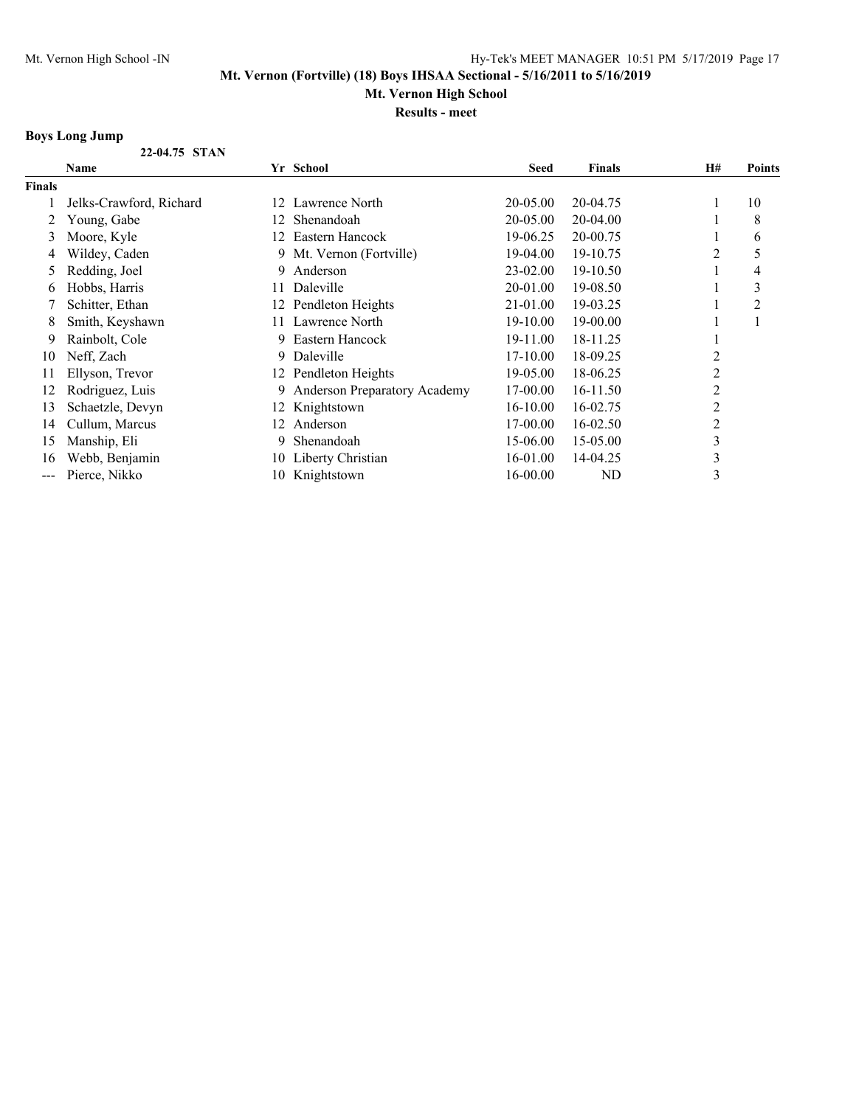## **Mt. Vernon High School**

**Results - meet**

## **Boys Long Jump**

|               | 22-04.75 STAN           |     |                              |             |               |    |                |
|---------------|-------------------------|-----|------------------------------|-------------|---------------|----|----------------|
|               | Name                    |     | Yr School                    | <b>Seed</b> | <b>Finals</b> | H# | <b>Points</b>  |
| <b>Finals</b> |                         |     |                              |             |               |    |                |
|               | Jelks-Crawford, Richard | 12. | Lawrence North               | 20-05.00    | 20-04.75      |    | 10             |
|               | Young, Gabe             | 12  | Shenandoah                   | 20-05.00    | 20-04.00      |    | 8              |
| 3             | Moore, Kyle             | 12. | Eastern Hancock              | 19-06.25    | 20-00.75      |    | 6              |
| 4             | Wildey, Caden           | 9.  | Mt. Vernon (Fortville)       | 19-04.00    | 19-10.75      | 2  | 5              |
| 5             | Redding, Joel           | 9.  | Anderson                     | 23-02.00    | 19-10.50      |    | 4              |
| 6             | Hobbs, Harris           | 11  | Daleville                    | 20-01.00    | 19-08.50      |    | 3              |
|               | Schitter, Ethan         | 12. | Pendleton Heights            | 21-01.00    | 19-03.25      |    | $\overline{2}$ |
| 8             | Smith, Keyshawn         | 11. | Lawrence North               | 19-10.00    | 19-00.00      |    |                |
| 9             | Rainbolt, Cole          | 9.  | Eastern Hancock              | 19-11.00    | 18-11.25      |    |                |
| 10            | Neff, Zach              | 9.  | Daleville                    | 17-10.00    | 18-09.25      | 2  |                |
| 11            | Ellyson, Trevor         | 12  | Pendleton Heights            | 19-05.00    | 18-06.25      | 2  |                |
| 12            | Rodriguez, Luis         |     | Anderson Preparatory Academy | 17-00.00    | 16-11.50      | 2  |                |
| 13            | Schaetzle, Devyn        | 12  | Knightstown                  | $16-10.00$  | 16-02.75      | 2  |                |
| 14            | Cullum, Marcus          | 12. | Anderson                     | 17-00.00    | 16-02.50      | 2  |                |
| 15            | Manship, Eli            |     | Shenandoah                   | 15-06.00    | 15-05.00      | 3  |                |
| 16            | Webb, Benjamin          | 10  | Liberty Christian            | 16-01.00    | 14-04.25      | 3  |                |
| ---           | Pierce, Nikko           | 10  | Knightstown                  | 16-00.00    | ND            | 3  |                |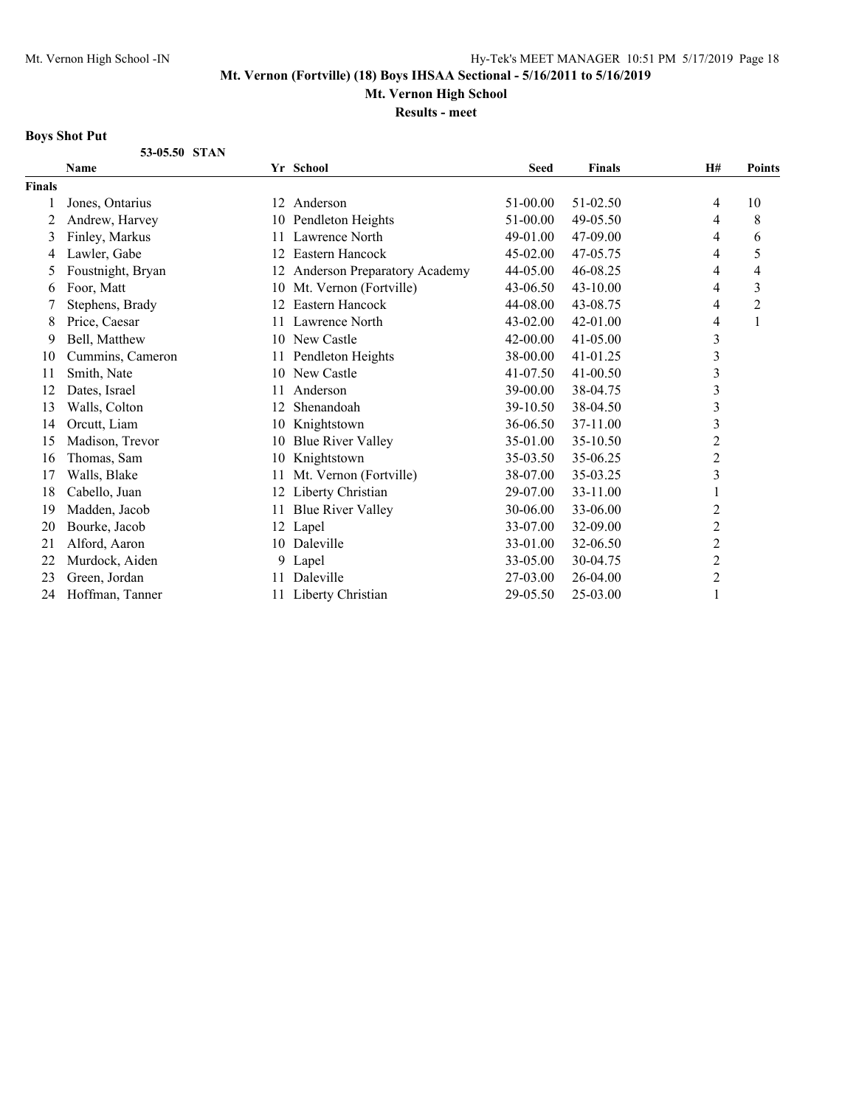**Mt. Vernon High School**

**Results - meet**

## **Boys Shot Put**

|               | 53-05.50 STAN     |    |                              |              |               |                |                |
|---------------|-------------------|----|------------------------------|--------------|---------------|----------------|----------------|
|               | Name              |    | Yr School                    | <b>Seed</b>  | <b>Finals</b> | H#             | <b>Points</b>  |
| <b>Finals</b> |                   |    |                              |              |               |                |                |
|               | Jones, Ontarius   |    | 12 Anderson                  | 51-00.00     | 51-02.50      | 4              | 10             |
| 2             | Andrew, Harvey    | 10 | Pendleton Heights            | 51-00.00     | 49-05.50      | 4              | 8              |
| 3             | Finley, Markus    | 11 | Lawrence North               | 49-01.00     | 47-09.00      | 4              | 6              |
| 4             | Lawler, Gabe      | 12 | Eastern Hancock              | 45-02.00     | 47-05.75      | 4              | 5              |
| 5             | Foustnight, Bryan | 12 | Anderson Preparatory Academy | 44-05.00     | 46-08.25      | 4              | $\overline{4}$ |
| 6             | Foor, Matt        | 10 | Mt. Vernon (Fortville)       | 43-06.50     | $43 - 10.00$  | 4              | 3              |
|               | Stephens, Brady   | 12 | Eastern Hancock              | 44-08.00     | 43-08.75      | 4              | $\overline{c}$ |
| 8             | Price, Caesar     | 11 | Lawrence North               | $43 - 02.00$ | 42-01.00      | 4              |                |
| 9             | Bell, Matthew     | 10 | New Castle                   | 42-00.00     | $41 - 05.00$  | $\mathfrak{Z}$ |                |
| 10            | Cummins, Cameron  | 11 | Pendleton Heights            | 38-00.00     | 41-01.25      | $\mathfrak{Z}$ |                |
| 11            | Smith, Nate       | 10 | New Castle                   | 41-07.50     | $41 - 00.50$  | $\mathfrak{Z}$ |                |
| 12            | Dates, Israel     | 11 | Anderson                     | 39-00.00     | 38-04.75      | $\mathfrak{Z}$ |                |
| 13            | Walls, Colton     | 12 | Shenandoah                   | 39-10.50     | 38-04.50      | $\mathfrak{Z}$ |                |
| 14            | Orcutt, Liam      | 10 | Knightstown                  | 36-06.50     | 37-11.00      | $\mathfrak{Z}$ |                |
| 15            | Madison, Trevor   | 10 | <b>Blue River Valley</b>     | 35-01.00     | 35-10.50      | $\overline{2}$ |                |
| 16            | Thomas, Sam       | 10 | Knightstown                  | 35-03.50     | 35-06.25      | $\overline{c}$ |                |
| 17            | Walls, Blake      | 11 | Mt. Vernon (Fortville)       | 38-07.00     | 35-03.25      | $\mathfrak{Z}$ |                |
| 18            | Cabello, Juan     | 12 | Liberty Christian            | 29-07.00     | 33-11.00      |                |                |
| 19            | Madden, Jacob     | 11 | <b>Blue River Valley</b>     | 30-06.00     | 33-06.00      | $\overline{2}$ |                |
| 20            | Bourke, Jacob     | 12 | Lapel                        | 33-07.00     | 32-09.00      | $\overline{c}$ |                |
| 21            | Alford, Aaron     | 10 | Daleville                    | 33-01.00     | 32-06.50      | $\overline{c}$ |                |
| 22            | Murdock, Aiden    | 9  | Lapel                        | 33-05.00     | 30-04.75      | $\overline{2}$ |                |
| 23            | Green, Jordan     |    | Daleville                    | 27-03.00     | 26-04.00      | $\overline{c}$ |                |
| 24            | Hoffman, Tanner   | 11 | Liberty Christian            | 29-05.50     | 25-03.00      |                |                |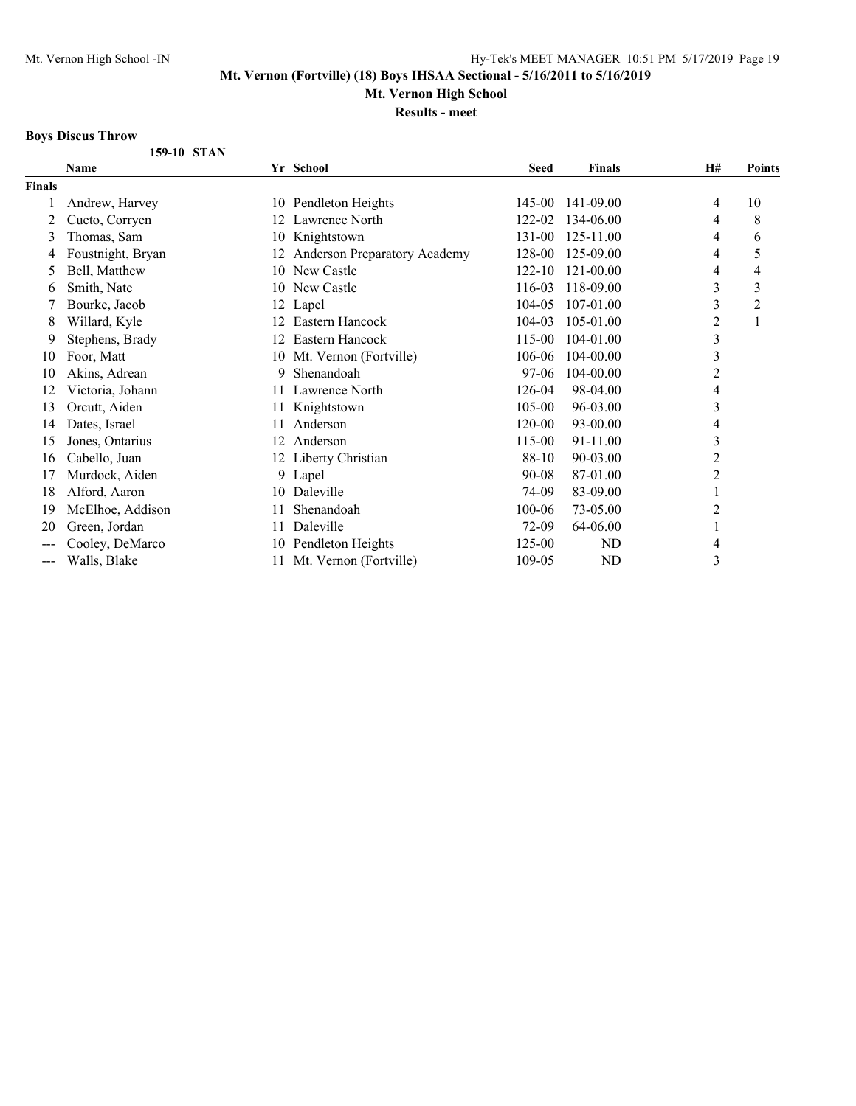**Mt. Vernon High School**

**Results - meet**

## **Boys Discus Throw**

|                   | 159-10 STAN       |    |                              |             |                |                |                |
|-------------------|-------------------|----|------------------------------|-------------|----------------|----------------|----------------|
|                   | Name              |    | Yr School                    | <b>Seed</b> | <b>Finals</b>  | <b>H#</b>      | Points         |
| <b>Finals</b>     |                   |    |                              |             |                |                |                |
|                   | Andrew, Harvey    | 10 | Pendleton Heights            | 145-00      | 141-09.00      | 4              | 10             |
| 2                 | Cueto, Corryen    | 12 | Lawrence North               | 122-02      | 134-06.00      | 4              | 8              |
| 3                 | Thomas, Sam       | 10 | Knightstown                  | 131-00      | 125-11.00      | 4              | 6              |
| 4                 | Foustnight, Bryan | 12 | Anderson Preparatory Academy | 128-00      | 125-09.00      | 4              | 5              |
| 5                 | Bell, Matthew     | 10 | New Castle                   | $122 - 10$  | 121-00.00      | 4              | 4              |
| 6                 | Smith, Nate       | 10 | New Castle                   | 116-03      | 118-09.00      | 3              | 3              |
|                   | Bourke, Jacob     | 12 | Lapel                        | $104 - 05$  | 107-01.00      | 3              | $\overline{c}$ |
| 8                 | Willard, Kyle     | 12 | Eastern Hancock              | 104-03      | 105-01.00      | $\overline{2}$ | 1              |
| 9                 | Stephens, Brady   | 12 | Eastern Hancock              | 115-00      | 104-01.00      | 3              |                |
| 10                | Foor, Matt        | 10 | Mt. Vernon (Fortville)       | 106-06      | 104-00.00      | $\mathfrak{Z}$ |                |
| 10                | Akins, Adrean     | 9  | Shenandoah                   | 97-06       | 104-00.00      | $\overline{2}$ |                |
| 12                | Victoria, Johann  | 11 | Lawrence North               | 126-04      | 98-04.00       | 4              |                |
| 13                | Orcutt, Aiden     | 11 | Knightstown                  | 105-00      | 96-03.00       | 3              |                |
| 14                | Dates, Israel     | 11 | Anderson                     | 120-00      | 93-00.00       | 4              |                |
| 15                | Jones, Ontarius   | 12 | Anderson                     | 115-00      | 91-11.00       | 3              |                |
| 16                | Cabello, Juan     | 12 | Liberty Christian            | 88-10       | 90-03.00       | $\overline{2}$ |                |
| 17                | Murdock, Aiden    | 9. | Lapel                        | $90 - 08$   | 87-01.00       | $\overline{2}$ |                |
| 18                | Alford, Aaron     | 10 | Daleville                    | 74-09       | 83-09.00       |                |                |
| 19                | McElhoe, Addison  | 11 | Shenandoah                   | $100 - 06$  | 73-05.00       | $\overline{c}$ |                |
| 20                | Green, Jordan     | 11 | Daleville                    | 72-09       | 64-06.00       | 1              |                |
| $---$             | Cooley, DeMarco   | 10 | Pendleton Heights            | 125-00      | ND             | 4              |                |
| $\qquad \qquad -$ | Walls, Blake      | 11 | Mt. Vernon (Fortville)       | 109-05      | N <sub>D</sub> | 3              |                |